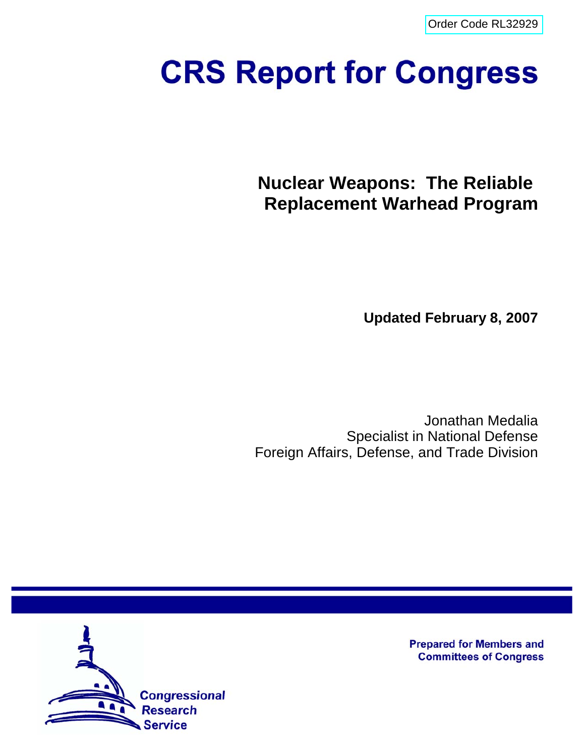[Order Code RL32929](http://www.fas.org/sgp/crs/nuke/index.html)

# **CRS Report for Congress**

**Nuclear Weapons: The Reliable Replacement Warhead Program**

**Updated February 8, 2007**

Jonathan Medalia Specialist in National Defense Foreign Affairs, Defense, and Trade Division



**Prepared for Members and Committees of Congress**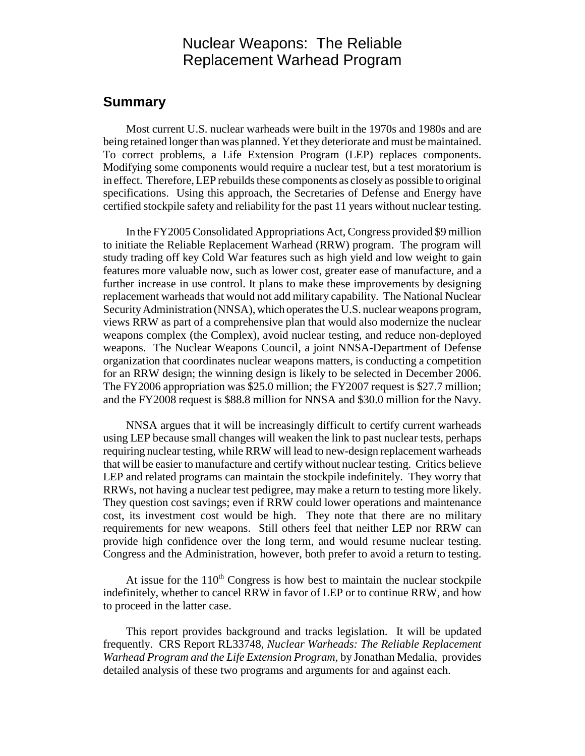# Nuclear Weapons: The Reliable Replacement Warhead Program

## **Summary**

Most current U.S. nuclear warheads were built in the 1970s and 1980s and are being retained longer than was planned. Yet they deteriorate and must be maintained. To correct problems, a Life Extension Program (LEP) replaces components. Modifying some components would require a nuclear test, but a test moratorium is in effect. Therefore, LEP rebuilds these components as closely as possible to original specifications. Using this approach, the Secretaries of Defense and Energy have certified stockpile safety and reliability for the past 11 years without nuclear testing.

In the FY2005 Consolidated Appropriations Act, Congress provided \$9 million to initiate the Reliable Replacement Warhead (RRW) program. The program will study trading off key Cold War features such as high yield and low weight to gain features more valuable now, such as lower cost, greater ease of manufacture, and a further increase in use control. It plans to make these improvements by designing replacement warheads that would not add military capability. The National Nuclear Security Administration (NNSA), which operates the U.S. nuclear weapons program, views RRW as part of a comprehensive plan that would also modernize the nuclear weapons complex (the Complex), avoid nuclear testing, and reduce non-deployed weapons. The Nuclear Weapons Council, a joint NNSA-Department of Defense organization that coordinates nuclear weapons matters, is conducting a competition for an RRW design; the winning design is likely to be selected in December 2006. The FY2006 appropriation was \$25.0 million; the FY2007 request is \$27.7 million; and the FY2008 request is \$88.8 million for NNSA and \$30.0 million for the Navy.

NNSA argues that it will be increasingly difficult to certify current warheads using LEP because small changes will weaken the link to past nuclear tests, perhaps requiring nuclear testing, while RRW will lead to new-design replacement warheads that will be easier to manufacture and certify without nuclear testing. Critics believe LEP and related programs can maintain the stockpile indefinitely. They worry that RRWs, not having a nuclear test pedigree, may make a return to testing more likely. They question cost savings; even if RRW could lower operations and maintenance cost, its investment cost would be high. They note that there are no military requirements for new weapons. Still others feel that neither LEP nor RRW can provide high confidence over the long term, and would resume nuclear testing. Congress and the Administration, however, both prefer to avoid a return to testing.

At issue for the  $110<sup>th</sup>$  Congress is how best to maintain the nuclear stockpile indefinitely, whether to cancel RRW in favor of LEP or to continue RRW, and how to proceed in the latter case.

This report provides background and tracks legislation. It will be updated frequently. CRS Report RL33748, *Nuclear Warheads: The Reliable Replacement Warhead Program and the Life Extension Program,* by Jonathan Medalia, provides detailed analysis of these two programs and arguments for and against each.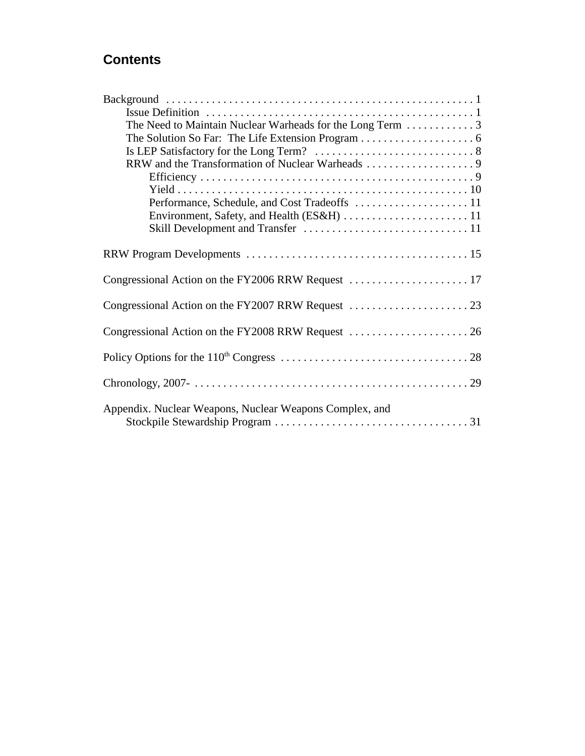# **Contents**

| The Need to Maintain Nuclear Warheads for the Long Term 3 |
|-----------------------------------------------------------|
|                                                           |
|                                                           |
|                                                           |
|                                                           |
|                                                           |
|                                                           |
|                                                           |
|                                                           |
|                                                           |
|                                                           |
|                                                           |
| Congressional Action on the FY2006 RRW Request  17        |
|                                                           |
|                                                           |
|                                                           |
|                                                           |
|                                                           |
|                                                           |
|                                                           |
|                                                           |
|                                                           |
| Appendix. Nuclear Weapons, Nuclear Weapons Complex, and   |
|                                                           |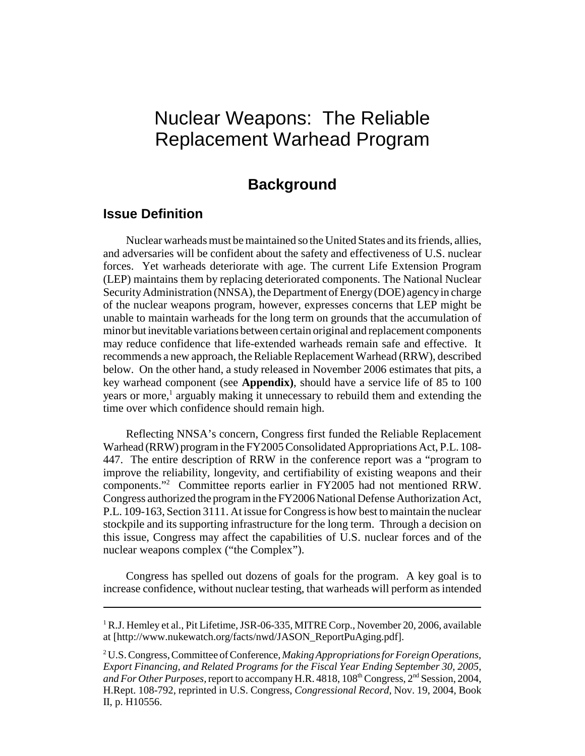# Nuclear Weapons: The Reliable Replacement Warhead Program

## **Background**

## **Issue Definition**

Nuclear warheads must be maintained so the United States and its friends, allies, and adversaries will be confident about the safety and effectiveness of U.S. nuclear forces. Yet warheads deteriorate with age. The current Life Extension Program (LEP) maintains them by replacing deteriorated components. The National Nuclear Security Administration (NNSA), the Department of Energy (DOE) agency in charge of the nuclear weapons program, however, expresses concerns that LEP might be unable to maintain warheads for the long term on grounds that the accumulation of minor but inevitable variations between certain original and replacement components may reduce confidence that life-extended warheads remain safe and effective. It recommends a new approach, the Reliable Replacement Warhead (RRW), described below. On the other hand, a study released in November 2006 estimates that pits, a key warhead component (see **Appendix)**, should have a service life of 85 to 100 years or more,<sup>1</sup> arguably making it unnecessary to rebuild them and extending the time over which confidence should remain high.

Reflecting NNSA's concern, Congress first funded the Reliable Replacement Warhead (RRW) program in the FY2005 Consolidated Appropriations Act, P.L. 108- 447. The entire description of RRW in the conference report was a "program to improve the reliability, longevity, and certifiability of existing weapons and their components."2 Committee reports earlier in FY2005 had not mentioned RRW. Congress authorized the program in the FY2006 National Defense Authorization Act, P.L. 109-163, Section 3111. At issue for Congress is how best to maintain the nuclear stockpile and its supporting infrastructure for the long term. Through a decision on this issue, Congress may affect the capabilities of U.S. nuclear forces and of the nuclear weapons complex ("the Complex").

Congress has spelled out dozens of goals for the program. A key goal is to increase confidence, without nuclear testing, that warheads will perform as intended

<sup>&</sup>lt;sup>1</sup> R.J. Hemley et al., Pit Lifetime, JSR-06-335, MITRE Corp., November 20, 2006, available at [http://www.nukewatch.org/facts/nwd/JASON\_ReportPuAging.pdf].

<sup>2</sup> U.S. Congress, Committee of Conference, *Making Appropriations for Foreign Operations, Export Financing, and Related Programs for the Fiscal Year Ending September 30, 2005, and For Other Purposes,* report to accompany H.R. 4818, 108<sup>th</sup> Congress, 2<sup>nd</sup> Session, 2004, H.Rept. 108-792, reprinted in U.S. Congress, *Congressional Record*, Nov. 19, 2004, Book II, p. H10556.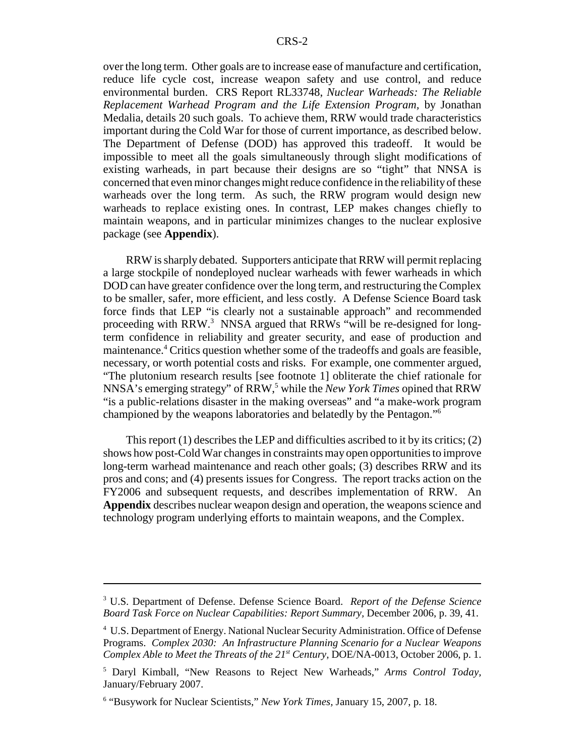over the long term. Other goals are to increase ease of manufacture and certification, reduce life cycle cost, increase weapon safety and use control, and reduce environmental burden. CRS Report RL33748, *Nuclear Warheads: The Reliable Replacement Warhead Program and the Life Extension Program,* by Jonathan Medalia, details 20 such goals. To achieve them, RRW would trade characteristics important during the Cold War for those of current importance, as described below. The Department of Defense (DOD) has approved this tradeoff. It would be impossible to meet all the goals simultaneously through slight modifications of existing warheads, in part because their designs are so "tight" that NNSA is concerned that even minor changes might reduce confidence in the reliability of these warheads over the long term. As such, the RRW program would design new warheads to replace existing ones. In contrast, LEP makes changes chiefly to maintain weapons, and in particular minimizes changes to the nuclear explosive package (see **Appendix**).

RRW is sharply debated. Supporters anticipate that RRW will permit replacing a large stockpile of nondeployed nuclear warheads with fewer warheads in which DOD can have greater confidence over the long term, and restructuring the Complex to be smaller, safer, more efficient, and less costly. A Defense Science Board task force finds that LEP "is clearly not a sustainable approach" and recommended proceeding with RRW.<sup>3</sup> NNSA argued that RRWs "will be re-designed for longterm confidence in reliability and greater security, and ease of production and maintenance.<sup>4</sup> Critics question whether some of the tradeoffs and goals are feasible, necessary, or worth potential costs and risks. For example, one commenter argued, "The plutonium research results [see footnote 1] obliterate the chief rationale for NNSA's emerging strategy" of RRW,<sup>5</sup> while the *New York Times* opined that RRW "is a public-relations disaster in the making overseas" and "a make-work program championed by the weapons laboratories and belatedly by the Pentagon."6

This report (1) describes the LEP and difficulties ascribed to it by its critics; (2) shows how post-Cold War changes in constraints may open opportunities to improve long-term warhead maintenance and reach other goals; (3) describes RRW and its pros and cons; and (4) presents issues for Congress. The report tracks action on the FY2006 and subsequent requests, and describes implementation of RRW. An **Appendix** describes nuclear weapon design and operation, the weapons science and technology program underlying efforts to maintain weapons, and the Complex.

<sup>3</sup> U.S. Department of Defense. Defense Science Board. *Report of the Defense Science Board Task Force on Nuclear Capabilities: Report Summary,* December 2006, p. 39, 41.

<sup>4</sup> U.S. Department of Energy. National Nuclear Security Administration. Office of Defense Programs. *Complex 2030: An Infrastructure Planning Scenario for a Nuclear Weapons Complex Able to Meet the Threats of the 21st Century,* DOE/NA-0013, October 2006, p. 1.

<sup>5</sup> Daryl Kimball, "New Reasons to Reject New Warheads," *Arms Control Today,* January/February 2007.

<sup>6</sup> "Busywork for Nuclear Scientists," *New York Times,* January 15, 2007, p. 18.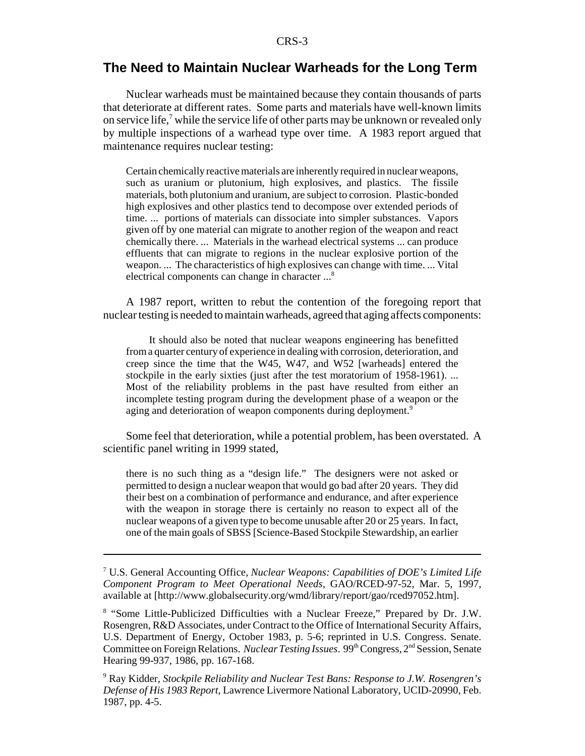## **The Need to Maintain Nuclear Warheads for the Long Term**

Nuclear warheads must be maintained because they contain thousands of parts that deteriorate at different rates. Some parts and materials have well-known limits on service life,<sup>7</sup> while the service life of other parts may be unknown or revealed only by multiple inspections of a warhead type over time. A 1983 report argued that maintenance requires nuclear testing:

Certain chemically reactive materials are inherently required in nuclear weapons, such as uranium or plutonium, high explosives, and plastics. The fissile materials, both plutonium and uranium, are subject to corrosion. Plastic-bonded high explosives and other plastics tend to decompose over extended periods of time. ... portions of materials can dissociate into simpler substances. Vapors given off by one material can migrate to another region of the weapon and react chemically there. ... Materials in the warhead electrical systems ... can produce effluents that can migrate to regions in the nuclear explosive portion of the weapon. ... The characteristics of high explosives can change with time. ... Vital electrical components can change in character ...<sup>8</sup>

A 1987 report, written to rebut the contention of the foregoing report that nuclear testing is needed to maintain warheads, agreed that aging affects components:

It should also be noted that nuclear weapons engineering has benefitted from a quarter century of experience in dealing with corrosion, deterioration, and creep since the time that the W45, W47, and W52 [warheads] entered the stockpile in the early sixties (just after the test moratorium of 1958-1961). ... Most of the reliability problems in the past have resulted from either an incomplete testing program during the development phase of a weapon or the aging and deterioration of weapon components during deployment.<sup>9</sup>

Some feel that deterioration, while a potential problem, has been overstated. A scientific panel writing in 1999 stated,

there is no such thing as a "design life." The designers were not asked or permitted to design a nuclear weapon that would go bad after 20 years. They did their best on a combination of performance and endurance, and after experience with the weapon in storage there is certainly no reason to expect all of the nuclear weapons of a given type to become unusable after 20 or 25 years. In fact, one of the main goals of SBSS [Science-Based Stockpile Stewardship, an earlier

<sup>7</sup> U.S. General Accounting Office, *Nuclear Weapons: Capabilities of DOE's Limited Life Component Program to Meet Operational Needs,* GAO/RCED-97-52, Mar. 5, 1997, available at [http://www.globalsecurity.org/wmd/library/report/gao/rced97052.htm].

<sup>&</sup>lt;sup>8</sup> "Some Little-Publicized Difficulties with a Nuclear Freeze," Prepared by Dr. J.W. Rosengren, R&D Associates, under Contract to the Office of International Security Affairs, U.S. Department of Energy, October 1983, p. 5-6; reprinted in U.S. Congress. Senate. Committee on Foreign Relations. *Nuclear Testing Issues*. 99th Congress, 2nd Session, Senate Hearing 99-937, 1986, pp. 167-168.

<sup>9</sup> Ray Kidder, *Stockpile Reliability and Nuclear Test Bans: Response to J.W. Rosengren's Defense of His 1983 Report*, Lawrence Livermore National Laboratory, UCID-20990, Feb. 1987, pp. 4-5.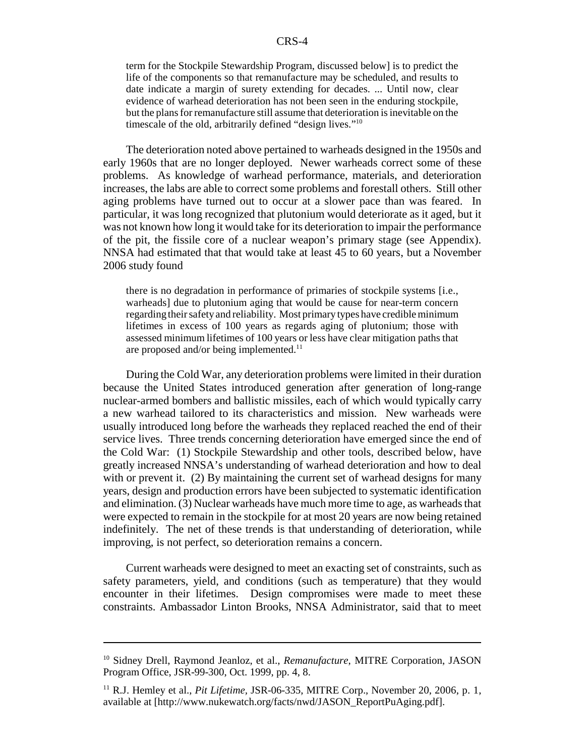term for the Stockpile Stewardship Program, discussed below] is to predict the life of the components so that remanufacture may be scheduled, and results to date indicate a margin of surety extending for decades. ... Until now, clear evidence of warhead deterioration has not been seen in the enduring stockpile, but the plans for remanufacture still assume that deterioration is inevitable on the timescale of the old, arbitrarily defined "design lives."10

The deterioration noted above pertained to warheads designed in the 1950s and early 1960s that are no longer deployed. Newer warheads correct some of these problems. As knowledge of warhead performance, materials, and deterioration increases, the labs are able to correct some problems and forestall others. Still other aging problems have turned out to occur at a slower pace than was feared. In particular, it was long recognized that plutonium would deteriorate as it aged, but it was not known how long it would take for its deterioration to impair the performance of the pit, the fissile core of a nuclear weapon's primary stage (see Appendix). NNSA had estimated that that would take at least 45 to 60 years, but a November 2006 study found

there is no degradation in performance of primaries of stockpile systems [i.e., warheads] due to plutonium aging that would be cause for near-term concern regarding their safety and reliability. Most primary types have credible minimum lifetimes in excess of 100 years as regards aging of plutonium; those with assessed minimum lifetimes of 100 years or less have clear mitigation paths that are proposed and/or being implemented.<sup>11</sup>

During the Cold War, any deterioration problems were limited in their duration because the United States introduced generation after generation of long-range nuclear-armed bombers and ballistic missiles, each of which would typically carry a new warhead tailored to its characteristics and mission. New warheads were usually introduced long before the warheads they replaced reached the end of their service lives. Three trends concerning deterioration have emerged since the end of the Cold War: (1) Stockpile Stewardship and other tools, described below, have greatly increased NNSA's understanding of warhead deterioration and how to deal with or prevent it. (2) By maintaining the current set of warhead designs for many years, design and production errors have been subjected to systematic identification and elimination. (3) Nuclear warheads have much more time to age, as warheads that were expected to remain in the stockpile for at most 20 years are now being retained indefinitely. The net of these trends is that understanding of deterioration, while improving, is not perfect, so deterioration remains a concern.

Current warheads were designed to meet an exacting set of constraints, such as safety parameters, yield, and conditions (such as temperature) that they would encounter in their lifetimes. Design compromises were made to meet these constraints. Ambassador Linton Brooks, NNSA Administrator, said that to meet

<sup>&</sup>lt;sup>10</sup> Sidney Drell, Raymond Jeanloz, et al., *Remanufacture*, MITRE Corporation, JASON Program Office, JSR-99-300, Oct. 1999, pp. 4, 8.

<sup>&</sup>lt;sup>11</sup> R.J. Hemley et al., *Pit Lifetime*, JSR-06-335, MITRE Corp., November 20, 2006, p. 1, available at [http://www.nukewatch.org/facts/nwd/JASON\_ReportPuAging.pdf].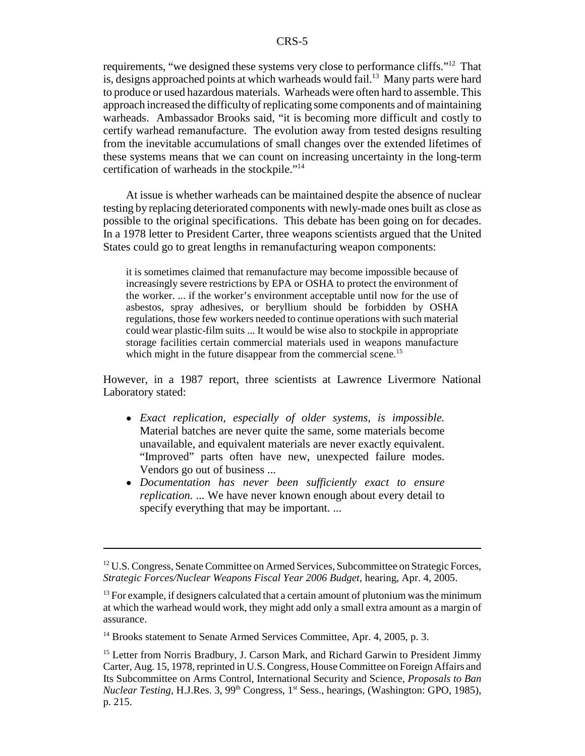requirements, "we designed these systems very close to performance cliffs."12 That is, designs approached points at which warheads would fail.<sup>13</sup> Many parts were hard to produce or used hazardous materials. Warheads were often hard to assemble. This approach increased the difficulty of replicating some components and of maintaining warheads. Ambassador Brooks said, "it is becoming more difficult and costly to certify warhead remanufacture. The evolution away from tested designs resulting from the inevitable accumulations of small changes over the extended lifetimes of these systems means that we can count on increasing uncertainty in the long-term certification of warheads in the stockpile."14

At issue is whether warheads can be maintained despite the absence of nuclear testing by replacing deteriorated components with newly-made ones built as close as possible to the original specifications. This debate has been going on for decades. In a 1978 letter to President Carter, three weapons scientists argued that the United States could go to great lengths in remanufacturing weapon components:

it is sometimes claimed that remanufacture may become impossible because of increasingly severe restrictions by EPA or OSHA to protect the environment of the worker. ... if the worker's environment acceptable until now for the use of asbestos, spray adhesives, or beryllium should be forbidden by OSHA regulations, those few workers needed to continue operations with such material could wear plastic-film suits ... It would be wise also to stockpile in appropriate storage facilities certain commercial materials used in weapons manufacture which might in the future disappear from the commercial scene.<sup>15</sup>

However, in a 1987 report, three scientists at Lawrence Livermore National Laboratory stated:

- ! *Exact replication, especially of older systems, is impossible.* Material batches are never quite the same, some materials become unavailable, and equivalent materials are never exactly equivalent. "Improved" parts often have new, unexpected failure modes. Vendors go out of business ...
- ! *Documentation has never been sufficiently exact to ensure replication.* ... We have never known enough about every detail to specify everything that may be important. ...

 $12$  U.S. Congress, Senate Committee on Armed Services, Subcommittee on Strategic Forces, *Strategic Forces/Nuclear Weapons Fiscal Year 2006 Budget*, hearing, Apr. 4, 2005.

 $<sup>13</sup>$  For example, if designers calculated that a certain amount of plutonium was the minimum</sup> at which the warhead would work, they might add only a small extra amount as a margin of assurance.

<sup>&</sup>lt;sup>14</sup> Brooks statement to Senate Armed Services Committee, Apr. 4, 2005, p. 3.

<sup>&</sup>lt;sup>15</sup> Letter from Norris Bradbury, J. Carson Mark, and Richard Garwin to President Jimmy Carter, Aug. 15, 1978, reprinted in U.S. Congress, House Committee on Foreign Affairs and Its Subcommittee on Arms Control, International Security and Science, *Proposals to Ban Nuclear Testing, H.J.Res.* 3, 99<sup>th</sup> Congress, 1<sup>st</sup> Sess., hearings, (Washington: GPO, 1985), p. 215.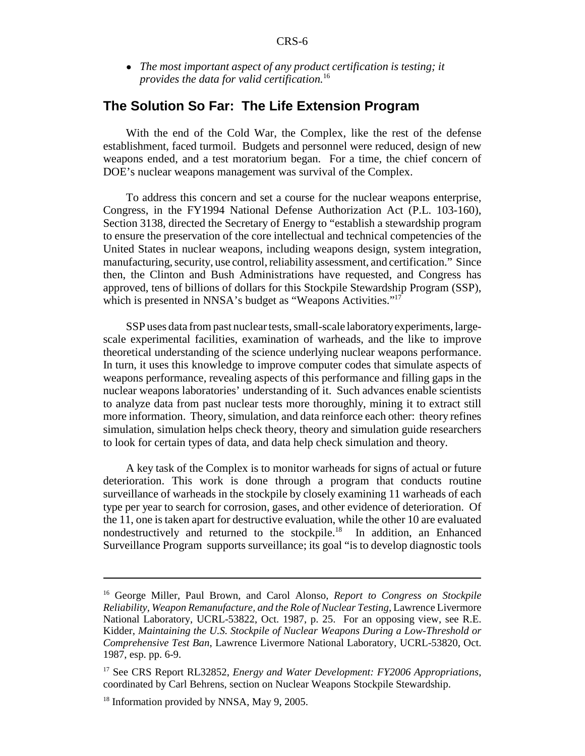! *The most important aspect of any product certification is testing; it provides the data for valid certification.*<sup>16</sup>

## **The Solution So Far: The Life Extension Program**

With the end of the Cold War, the Complex, like the rest of the defense establishment, faced turmoil. Budgets and personnel were reduced, design of new weapons ended, and a test moratorium began. For a time, the chief concern of DOE's nuclear weapons management was survival of the Complex.

To address this concern and set a course for the nuclear weapons enterprise, Congress, in the FY1994 National Defense Authorization Act (P.L. 103-160), Section 3138, directed the Secretary of Energy to "establish a stewardship program to ensure the preservation of the core intellectual and technical competencies of the United States in nuclear weapons, including weapons design, system integration, manufacturing, security, use control, reliability assessment, and certification." Since then, the Clinton and Bush Administrations have requested, and Congress has approved, tens of billions of dollars for this Stockpile Stewardship Program (SSP), which is presented in NNSA's budget as "Weapons Activities."<sup>17</sup>

SSP uses data from past nuclear tests, small-scale laboratory experiments, largescale experimental facilities, examination of warheads, and the like to improve theoretical understanding of the science underlying nuclear weapons performance. In turn, it uses this knowledge to improve computer codes that simulate aspects of weapons performance, revealing aspects of this performance and filling gaps in the nuclear weapons laboratories' understanding of it. Such advances enable scientists to analyze data from past nuclear tests more thoroughly, mining it to extract still more information. Theory, simulation, and data reinforce each other: theory refines simulation, simulation helps check theory, theory and simulation guide researchers to look for certain types of data, and data help check simulation and theory.

A key task of the Complex is to monitor warheads for signs of actual or future deterioration. This work is done through a program that conducts routine surveillance of warheads in the stockpile by closely examining 11 warheads of each type per year to search for corrosion, gases, and other evidence of deterioration. Of the 11, one is taken apart for destructive evaluation, while the other 10 are evaluated nondestructively and returned to the stockpile.18 In addition, an Enhanced Surveillance Program supports surveillance; its goal "is to develop diagnostic tools

<sup>16</sup> George Miller, Paul Brown, and Carol Alonso, *Report to Congress on Stockpile Reliability, Weapon Remanufacture, and the Role of Nuclear Testing,* Lawrence Livermore National Laboratory, UCRL-53822, Oct. 1987, p. 25. For an opposing view, see R.E. Kidder, *Maintaining the U.S. Stockpile of Nuclear Weapons During a Low-Threshold or Comprehensive Test Ban*, Lawrence Livermore National Laboratory, UCRL-53820, Oct. 1987, esp. pp. 6-9.

<sup>17</sup> See CRS Report RL32852, *Energy and Water Development: FY2006 Appropriations*, coordinated by Carl Behrens, section on Nuclear Weapons Stockpile Stewardship.

<sup>&</sup>lt;sup>18</sup> Information provided by NNSA, May 9, 2005.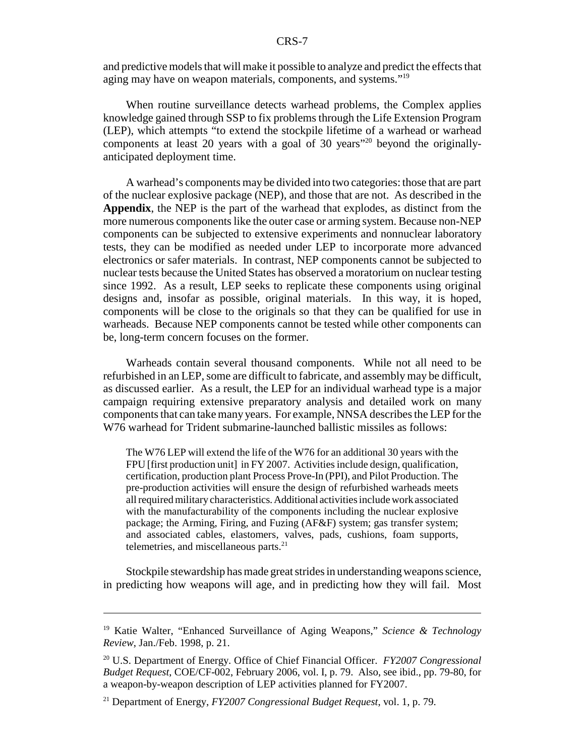and predictive models that will make it possible to analyze and predict the effects that aging may have on weapon materials, components, and systems."19

When routine surveillance detects warhead problems, the Complex applies knowledge gained through SSP to fix problems through the Life Extension Program (LEP), which attempts "to extend the stockpile lifetime of a warhead or warhead components at least 20 years with a goal of 30 years"20 beyond the originallyanticipated deployment time.

A warhead's components may be divided into two categories: those that are part of the nuclear explosive package (NEP), and those that are not. As described in the **Appendix**, the NEP is the part of the warhead that explodes, as distinct from the more numerous components like the outer case or arming system. Because non-NEP components can be subjected to extensive experiments and nonnuclear laboratory tests, they can be modified as needed under LEP to incorporate more advanced electronics or safer materials. In contrast, NEP components cannot be subjected to nuclear tests because the United States has observed a moratorium on nuclear testing since 1992. As a result, LEP seeks to replicate these components using original designs and, insofar as possible, original materials. In this way, it is hoped, components will be close to the originals so that they can be qualified for use in warheads. Because NEP components cannot be tested while other components can be, long-term concern focuses on the former.

Warheads contain several thousand components. While not all need to be refurbished in an LEP, some are difficult to fabricate, and assembly may be difficult, as discussed earlier. As a result, the LEP for an individual warhead type is a major campaign requiring extensive preparatory analysis and detailed work on many components that can take many years. For example, NNSA describes the LEP for the W76 warhead for Trident submarine-launched ballistic missiles as follows:

The W76 LEP will extend the life of the W76 for an additional 30 years with the FPU [first production unit] in FY 2007. Activities include design, qualification, certification, production plant Process Prove-In (PPI), and Pilot Production. The pre-production activities will ensure the design of refurbished warheads meets all required military characteristics. Additional activities include work associated with the manufacturability of the components including the nuclear explosive package; the Arming, Firing, and Fuzing (AF&F) system; gas transfer system; and associated cables, elastomers, valves, pads, cushions, foam supports, telemetries, and miscellaneous parts.<sup>21</sup>

Stockpile stewardship has made great strides in understanding weapons science, in predicting how weapons will age, and in predicting how they will fail. Most

<sup>19</sup> Katie Walter, "Enhanced Surveillance of Aging Weapons," *Science & Technology Review*, Jan./Feb. 1998, p. 21.

<sup>20</sup> U.S. Department of Energy. Office of Chief Financial Officer. *FY2007 Congressional Budget Request*, COE/CF-002, February 2006, vol. I, p. 79. Also, see ibid., pp. 79-80, for a weapon-by-weapon description of LEP activities planned for FY2007.

<sup>21</sup> Department of Energy, *FY2007 Congressional Budget Request*, vol. 1, p. 79.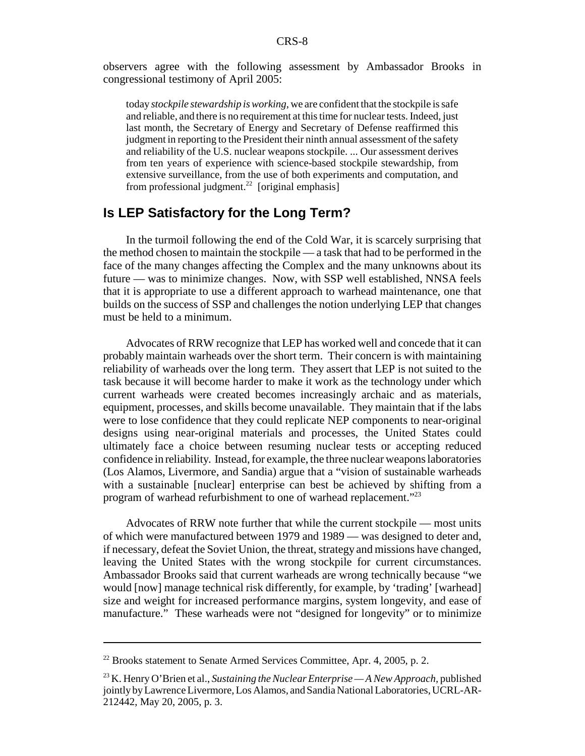observers agree with the following assessment by Ambassador Brooks in congressional testimony of April 2005:

today *stockpile stewardship is working*, we are confident that the stockpile is safe and reliable, and there is no requirement at this time for nuclear tests. Indeed, just last month, the Secretary of Energy and Secretary of Defense reaffirmed this judgment in reporting to the President their ninth annual assessment of the safety and reliability of the U.S. nuclear weapons stockpile. ... Our assessment derives from ten years of experience with science-based stockpile stewardship, from extensive surveillance, from the use of both experiments and computation, and from professional judgment.<sup>22</sup> [original emphasis]

## **Is LEP Satisfactory for the Long Term?**

In the turmoil following the end of the Cold War, it is scarcely surprising that the method chosen to maintain the stockpile — a task that had to be performed in the face of the many changes affecting the Complex and the many unknowns about its future — was to minimize changes. Now, with SSP well established, NNSA feels that it is appropriate to use a different approach to warhead maintenance, one that builds on the success of SSP and challenges the notion underlying LEP that changes must be held to a minimum.

Advocates of RRW recognize that LEP has worked well and concede that it can probably maintain warheads over the short term. Their concern is with maintaining reliability of warheads over the long term. They assert that LEP is not suited to the task because it will become harder to make it work as the technology under which current warheads were created becomes increasingly archaic and as materials, equipment, processes, and skills become unavailable. They maintain that if the labs were to lose confidence that they could replicate NEP components to near-original designs using near-original materials and processes, the United States could ultimately face a choice between resuming nuclear tests or accepting reduced confidence in reliability. Instead, for example, the three nuclear weapons laboratories (Los Alamos, Livermore, and Sandia) argue that a "vision of sustainable warheads with a sustainable [nuclear] enterprise can best be achieved by shifting from a program of warhead refurbishment to one of warhead replacement."<sup>23</sup>

Advocates of RRW note further that while the current stockpile — most units of which were manufactured between 1979 and 1989 — was designed to deter and, if necessary, defeat the Soviet Union, the threat, strategy and missions have changed, leaving the United States with the wrong stockpile for current circumstances. Ambassador Brooks said that current warheads are wrong technically because "we would [now] manage technical risk differently, for example, by 'trading' [warhead] size and weight for increased performance margins, system longevity, and ease of manufacture." These warheads were not "designed for longevity" or to minimize

 $22$  Brooks statement to Senate Armed Services Committee, Apr. 4, 2005, p. 2.

<sup>23</sup> K. Henry O'Brien et al., *Sustaining the Nuclear Enterprise — A New Approach,* published jointly by Lawrence Livermore, Los Alamos, and Sandia National Laboratories, UCRL-AR-212442, May 20, 2005, p. 3.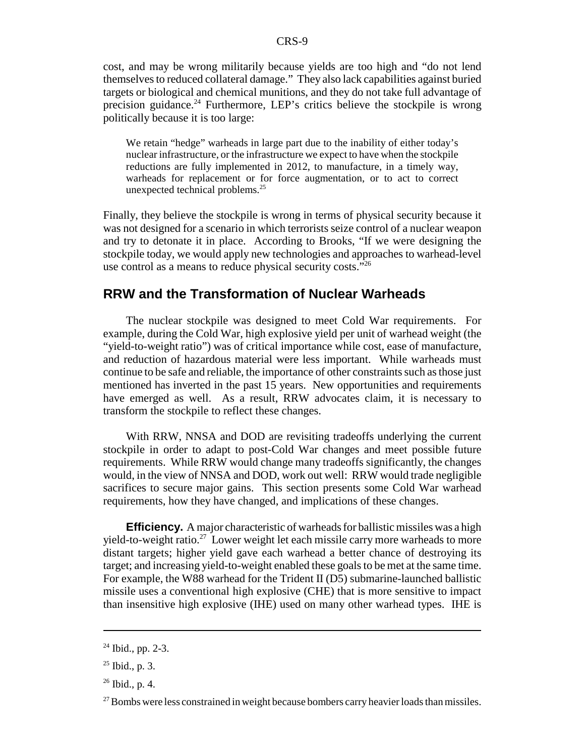cost, and may be wrong militarily because yields are too high and "do not lend themselves to reduced collateral damage." They also lack capabilities against buried targets or biological and chemical munitions, and they do not take full advantage of precision guidance.<sup>24</sup> Furthermore, LEP's critics believe the stockpile is wrong politically because it is too large:

We retain "hedge" warheads in large part due to the inability of either today's nuclear infrastructure, or the infrastructure we expect to have when the stockpile reductions are fully implemented in 2012, to manufacture, in a timely way, warheads for replacement or for force augmentation, or to act to correct unexpected technical problems.<sup>25</sup>

Finally, they believe the stockpile is wrong in terms of physical security because it was not designed for a scenario in which terrorists seize control of a nuclear weapon and try to detonate it in place. According to Brooks, "If we were designing the stockpile today, we would apply new technologies and approaches to warhead-level use control as a means to reduce physical security costs."<sup>26</sup>

### **RRW and the Transformation of Nuclear Warheads**

The nuclear stockpile was designed to meet Cold War requirements. For example, during the Cold War, high explosive yield per unit of warhead weight (the "yield-to-weight ratio") was of critical importance while cost, ease of manufacture, and reduction of hazardous material were less important. While warheads must continue to be safe and reliable, the importance of other constraints such as those just mentioned has inverted in the past 15 years. New opportunities and requirements have emerged as well. As a result, RRW advocates claim, it is necessary to transform the stockpile to reflect these changes.

With RRW, NNSA and DOD are revisiting tradeoffs underlying the current stockpile in order to adapt to post-Cold War changes and meet possible future requirements. While RRW would change many tradeoffs significantly, the changes would, in the view of NNSA and DOD, work out well: RRW would trade negligible sacrifices to secure major gains. This section presents some Cold War warhead requirements, how they have changed, and implications of these changes.

**Efficiency.** A major characteristic of warheads for ballistic missiles was a high yield-to-weight ratio.<sup>27</sup> Lower weight let each missile carry more warheads to more distant targets; higher yield gave each warhead a better chance of destroying its target; and increasing yield-to-weight enabled these goals to be met at the same time. For example, the W88 warhead for the Trident II (D5) submarine-launched ballistic missile uses a conventional high explosive (CHE) that is more sensitive to impact than insensitive high explosive (IHE) used on many other warhead types. IHE is

<sup>24</sup> Ibid., pp. 2-3.

 $25$  Ibid., p. 3.

 $26$  Ibid., p. 4.

 $27$  Bombs were less constrained in weight because bombers carry heavier loads than missiles.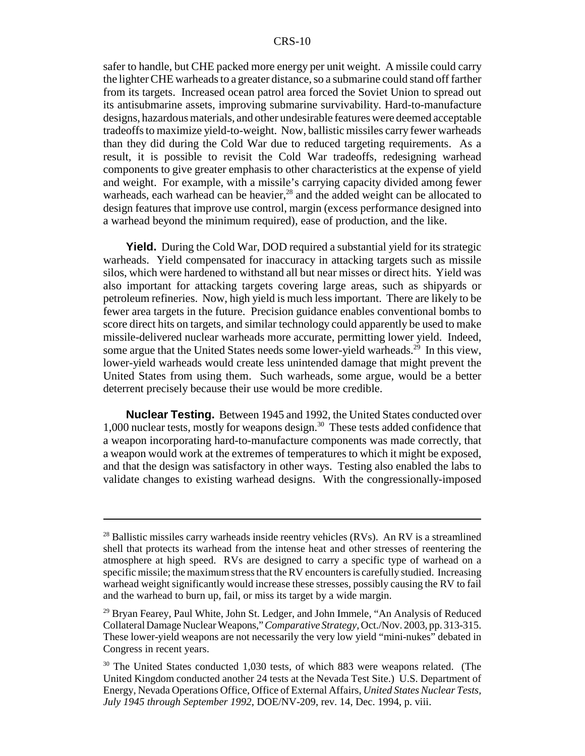safer to handle, but CHE packed more energy per unit weight. A missile could carry the lighter CHE warheads to a greater distance, so a submarine could stand off farther from its targets. Increased ocean patrol area forced the Soviet Union to spread out its antisubmarine assets, improving submarine survivability. Hard-to-manufacture designs, hazardous materials, and other undesirable features were deemed acceptable tradeoffs to maximize yield-to-weight. Now, ballistic missiles carry fewer warheads than they did during the Cold War due to reduced targeting requirements. As a result, it is possible to revisit the Cold War tradeoffs, redesigning warhead components to give greater emphasis to other characteristics at the expense of yield and weight. For example, with a missile's carrying capacity divided among fewer warheads, each warhead can be heavier, $^{28}$  and the added weight can be allocated to design features that improve use control, margin (excess performance designed into a warhead beyond the minimum required), ease of production, and the like.

**Yield.** During the Cold War, DOD required a substantial yield for its strategic warheads. Yield compensated for inaccuracy in attacking targets such as missile silos, which were hardened to withstand all but near misses or direct hits. Yield was also important for attacking targets covering large areas, such as shipyards or petroleum refineries. Now, high yield is much less important. There are likely to be fewer area targets in the future. Precision guidance enables conventional bombs to score direct hits on targets, and similar technology could apparently be used to make missile-delivered nuclear warheads more accurate, permitting lower yield. Indeed, some argue that the United States needs some lower-yield warheads.<sup>29</sup> In this view, lower-yield warheads would create less unintended damage that might prevent the United States from using them. Such warheads, some argue, would be a better deterrent precisely because their use would be more credible.

**Nuclear Testing.** Between 1945 and 1992, the United States conducted over 1,000 nuclear tests, mostly for weapons design.30 These tests added confidence that a weapon incorporating hard-to-manufacture components was made correctly, that a weapon would work at the extremes of temperatures to which it might be exposed, and that the design was satisfactory in other ways. Testing also enabled the labs to validate changes to existing warhead designs. With the congressionally-imposed

 $^{28}$  Ballistic missiles carry warheads inside reentry vehicles (RVs). An RV is a streamlined shell that protects its warhead from the intense heat and other stresses of reentering the atmosphere at high speed. RVs are designed to carry a specific type of warhead on a specific missile; the maximum stress that the RV encounters is carefully studied. Increasing warhead weight significantly would increase these stresses, possibly causing the RV to fail and the warhead to burn up, fail, or miss its target by a wide margin.

 $29$  Bryan Fearey, Paul White, John St. Ledger, and John Immele, "An Analysis of Reduced Collateral Damage Nuclear Weapons," *Comparative Strategy*, Oct./Nov. 2003, pp. 313-315. These lower-yield weapons are not necessarily the very low yield "mini-nukes" debated in Congress in recent years.

<sup>&</sup>lt;sup>30</sup> The United States conducted 1,030 tests, of which 883 were weapons related. (The United Kingdom conducted another 24 tests at the Nevada Test Site.) U.S. Department of Energy, Nevada Operations Office, Office of External Affairs, *United States Nuclear Tests, July 1945 through September 1992*, DOE/NV-209, rev. 14, Dec. 1994, p. viii.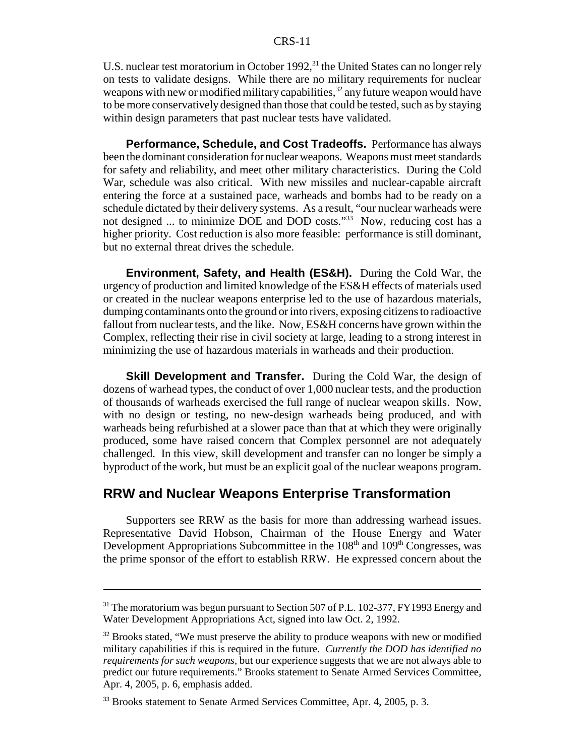U.S. nuclear test moratorium in October 1992,<sup>31</sup> the United States can no longer rely on tests to validate designs. While there are no military requirements for nuclear weapons with new or modified military capabilities,  $32$  any future weapon would have to be more conservatively designed than those that could be tested, such as by staying within design parameters that past nuclear tests have validated.

**Performance, Schedule, and Cost Tradeoffs.** Performance has always been the dominant consideration for nuclear weapons. Weapons must meet standards for safety and reliability, and meet other military characteristics. During the Cold War, schedule was also critical. With new missiles and nuclear-capable aircraft entering the force at a sustained pace, warheads and bombs had to be ready on a schedule dictated by their delivery systems. As a result, "our nuclear warheads were not designed ... to minimize DOE and DOD costs."33 Now, reducing cost has a higher priority. Cost reduction is also more feasible: performance is still dominant, but no external threat drives the schedule.

**Environment, Safety, and Health (ES&H).** During the Cold War, the urgency of production and limited knowledge of the ES&H effects of materials used or created in the nuclear weapons enterprise led to the use of hazardous materials, dumping contaminants onto the ground or into rivers, exposing citizens to radioactive fallout from nuclear tests, and the like. Now, ES&H concerns have grown within the Complex, reflecting their rise in civil society at large, leading to a strong interest in minimizing the use of hazardous materials in warheads and their production.

**Skill Development and Transfer.** During the Cold War, the design of dozens of warhead types, the conduct of over 1,000 nuclear tests, and the production of thousands of warheads exercised the full range of nuclear weapon skills. Now, with no design or testing, no new-design warheads being produced, and with warheads being refurbished at a slower pace than that at which they were originally produced, some have raised concern that Complex personnel are not adequately challenged. In this view, skill development and transfer can no longer be simply a byproduct of the work, but must be an explicit goal of the nuclear weapons program.

## **RRW and Nuclear Weapons Enterprise Transformation**

Supporters see RRW as the basis for more than addressing warhead issues. Representative David Hobson, Chairman of the House Energy and Water Development Appropriations Subcommittee in the  $108<sup>th</sup>$  and  $109<sup>th</sup>$  Congresses, was the prime sponsor of the effort to establish RRW. He expressed concern about the

 $31$  The moratorium was begun pursuant to Section 507 of P.L. 102-377, FY1993 Energy and Water Development Appropriations Act, signed into law Oct. 2, 1992.

 $32$  Brooks stated, "We must preserve the ability to produce weapons with new or modified military capabilities if this is required in the future. *Currently the DOD has identified no requirements for such weapons,* but our experience suggests that we are not always able to predict our future requirements." Brooks statement to Senate Armed Services Committee, Apr. 4, 2005, p. 6, emphasis added.

<sup>&</sup>lt;sup>33</sup> Brooks statement to Senate Armed Services Committee, Apr. 4, 2005, p. 3.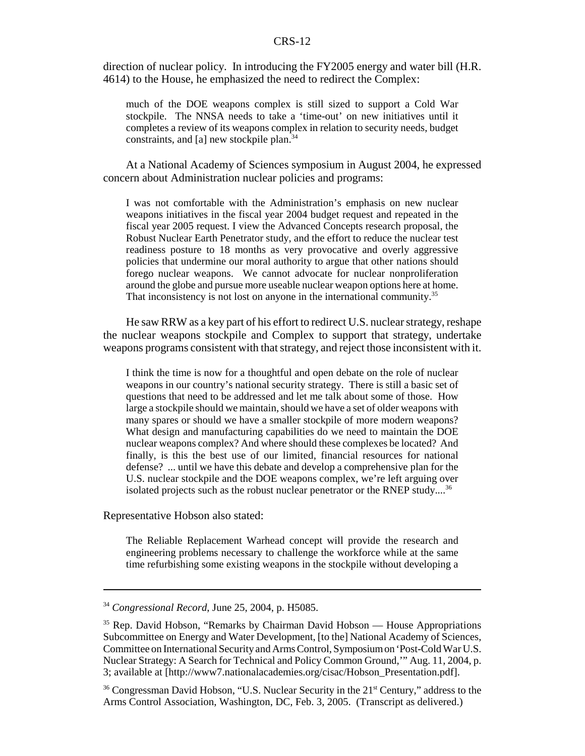direction of nuclear policy. In introducing the FY2005 energy and water bill (H.R. 4614) to the House, he emphasized the need to redirect the Complex:

much of the DOE weapons complex is still sized to support a Cold War stockpile. The NNSA needs to take a 'time-out' on new initiatives until it completes a review of its weapons complex in relation to security needs, budget constraints, and [a] new stockpile plan.<sup>34</sup>

At a National Academy of Sciences symposium in August 2004, he expressed concern about Administration nuclear policies and programs:

I was not comfortable with the Administration's emphasis on new nuclear weapons initiatives in the fiscal year 2004 budget request and repeated in the fiscal year 2005 request. I view the Advanced Concepts research proposal, the Robust Nuclear Earth Penetrator study, and the effort to reduce the nuclear test readiness posture to 18 months as very provocative and overly aggressive policies that undermine our moral authority to argue that other nations should forego nuclear weapons. We cannot advocate for nuclear nonproliferation around the globe and pursue more useable nuclear weapon options here at home. That inconsistency is not lost on anyone in the international community.<sup>35</sup>

He saw RRW as a key part of his effort to redirect U.S. nuclear strategy, reshape the nuclear weapons stockpile and Complex to support that strategy, undertake weapons programs consistent with that strategy, and reject those inconsistent with it.

I think the time is now for a thoughtful and open debate on the role of nuclear weapons in our country's national security strategy. There is still a basic set of questions that need to be addressed and let me talk about some of those. How large a stockpile should we maintain, should we have a set of older weapons with many spares or should we have a smaller stockpile of more modern weapons? What design and manufacturing capabilities do we need to maintain the DOE nuclear weapons complex? And where should these complexes be located? And finally, is this the best use of our limited, financial resources for national defense? ... until we have this debate and develop a comprehensive plan for the U.S. nuclear stockpile and the DOE weapons complex, we're left arguing over isolated projects such as the robust nuclear penetrator or the RNEP study....<sup>36</sup>

Representative Hobson also stated:

The Reliable Replacement Warhead concept will provide the research and engineering problems necessary to challenge the workforce while at the same time refurbishing some existing weapons in the stockpile without developing a

<sup>36</sup> Congressman David Hobson, "U.S. Nuclear Security in the 21<sup>st</sup> Century," address to the Arms Control Association, Washington, DC, Feb. 3, 2005. (Transcript as delivered.)

<sup>34</sup> *Congressional Record*, June 25, 2004, p. H5085.

<sup>&</sup>lt;sup>35</sup> Rep. David Hobson, "Remarks by Chairman David Hobson — House Appropriations Subcommittee on Energy and Water Development, [to the] National Academy of Sciences, Committee on International Security and Arms Control, Symposium on 'Post-Cold War U.S. Nuclear Strategy: A Search for Technical and Policy Common Ground,'" Aug. 11, 2004, p. 3; available at [http://www7.nationalacademies.org/cisac/Hobson\_Presentation.pdf].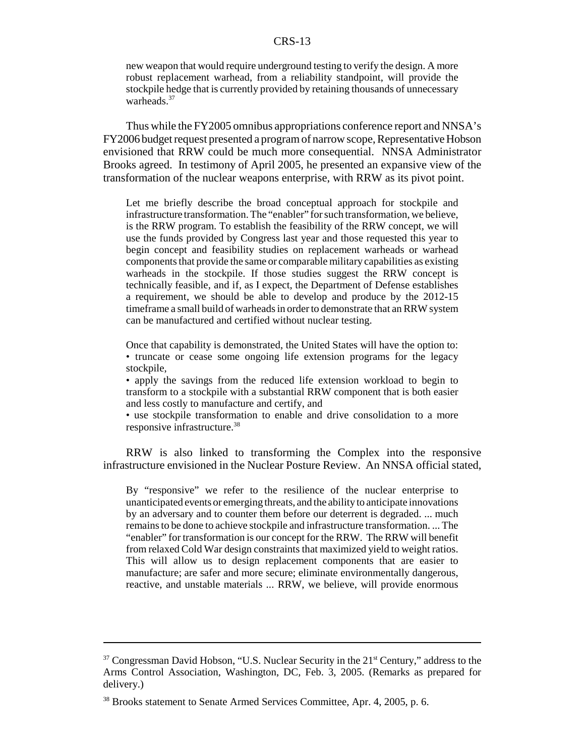new weapon that would require underground testing to verify the design. A more robust replacement warhead, from a reliability standpoint, will provide the stockpile hedge that is currently provided by retaining thousands of unnecessary warheads.<sup>37</sup>

Thus while the FY2005 omnibus appropriations conference report and NNSA's FY2006 budget request presented a program of narrow scope, Representative Hobson envisioned that RRW could be much more consequential. NNSA Administrator Brooks agreed. In testimony of April 2005, he presented an expansive view of the transformation of the nuclear weapons enterprise, with RRW as its pivot point.

Let me briefly describe the broad conceptual approach for stockpile and infrastructure transformation. The "enabler" for such transformation, we believe, is the RRW program. To establish the feasibility of the RRW concept, we will use the funds provided by Congress last year and those requested this year to begin concept and feasibility studies on replacement warheads or warhead components that provide the same or comparable military capabilities as existing warheads in the stockpile. If those studies suggest the RRW concept is technically feasible, and if, as I expect, the Department of Defense establishes a requirement, we should be able to develop and produce by the 2012-15 timeframe a small build of warheads in order to demonstrate that an RRW system can be manufactured and certified without nuclear testing.

Once that capability is demonstrated, the United States will have the option to: • truncate or cease some ongoing life extension programs for the legacy stockpile,

• apply the savings from the reduced life extension workload to begin to transform to a stockpile with a substantial RRW component that is both easier and less costly to manufacture and certify, and

• use stockpile transformation to enable and drive consolidation to a more responsive infrastructure.38

RRW is also linked to transforming the Complex into the responsive infrastructure envisioned in the Nuclear Posture Review. An NNSA official stated,

By "responsive" we refer to the resilience of the nuclear enterprise to unanticipated events or emerging threats, and the ability to anticipate innovations by an adversary and to counter them before our deterrent is degraded. ... much remains to be done to achieve stockpile and infrastructure transformation. ... The "enabler" for transformation is our concept for the RRW. The RRW will benefit from relaxed Cold War design constraints that maximized yield to weight ratios. This will allow us to design replacement components that are easier to manufacture; are safer and more secure; eliminate environmentally dangerous, reactive, and unstable materials ... RRW, we believe, will provide enormous

 $37$  Congressman David Hobson, "U.S. Nuclear Security in the  $21<sup>st</sup>$  Century," address to the Arms Control Association, Washington, DC, Feb. 3, 2005. (Remarks as prepared for delivery.)

<sup>&</sup>lt;sup>38</sup> Brooks statement to Senate Armed Services Committee, Apr. 4, 2005, p. 6.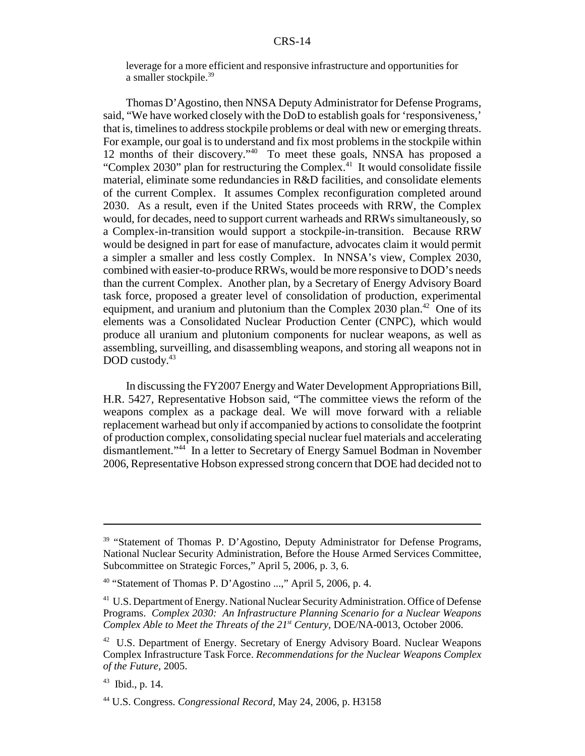leverage for a more efficient and responsive infrastructure and opportunities for a smaller stockpile.<sup>39</sup>

Thomas D'Agostino, then NNSA Deputy Administrator for Defense Programs, said, "We have worked closely with the DoD to establish goals for 'responsiveness,' that is, timelines to address stockpile problems or deal with new or emerging threats. For example, our goal is to understand and fix most problems in the stockpile within 12 months of their discovery."<sup>40</sup> To meet these goals, NNSA has proposed a "Complex 2030" plan for restructuring the Complex.<sup>41</sup> It would consolidate fissile material, eliminate some redundancies in R&D facilities, and consolidate elements of the current Complex. It assumes Complex reconfiguration completed around 2030. As a result, even if the United States proceeds with RRW, the Complex would, for decades, need to support current warheads and RRWs simultaneously, so a Complex-in-transition would support a stockpile-in-transition. Because RRW would be designed in part for ease of manufacture, advocates claim it would permit a simpler a smaller and less costly Complex. In NNSA's view, Complex 2030, combined with easier-to-produce RRWs, would be more responsive to DOD's needs than the current Complex. Another plan, by a Secretary of Energy Advisory Board task force, proposed a greater level of consolidation of production, experimental equipment, and uranium and plutonium than the Complex 2030 plan.<sup>42</sup> One of its elements was a Consolidated Nuclear Production Center (CNPC), which would produce all uranium and plutonium components for nuclear weapons, as well as assembling, surveilling, and disassembling weapons, and storing all weapons not in DOD custody.<sup>43</sup>

In discussing the FY2007 Energy and Water Development Appropriations Bill, H.R. 5427, Representative Hobson said, "The committee views the reform of the weapons complex as a package deal. We will move forward with a reliable replacement warhead but only if accompanied by actions to consolidate the footprint of production complex, consolidating special nuclear fuel materials and accelerating dismantlement."44 In a letter to Secretary of Energy Samuel Bodman in November 2006, Representative Hobson expressed strong concern that DOE had decided not to

<sup>&</sup>lt;sup>39</sup> "Statement of Thomas P. D'Agostino, Deputy Administrator for Defense Programs, National Nuclear Security Administration, Before the House Armed Services Committee, Subcommittee on Strategic Forces," April 5, 2006, p. 3, 6.

 $40$  "Statement of Thomas P. D'Agostino ...," April 5, 2006, p. 4.

<sup>&</sup>lt;sup>41</sup> U.S. Department of Energy. National Nuclear Security Administration. Office of Defense Programs. *Complex 2030: An Infrastructure Planning Scenario for a Nuclear Weapons Complex Able to Meet the Threats of the 21st Century,* DOE/NA-0013, October 2006.

<sup>&</sup>lt;sup>42</sup> U.S. Department of Energy. Secretary of Energy Advisory Board. Nuclear Weapons Complex Infrastructure Task Force. *Recommendations for the Nuclear Weapons Complex of the Future,* 2005.

 $43$  Ibid., p. 14.

<sup>44</sup> U.S. Congress. *Congressional Record,* May 24, 2006, p. H3158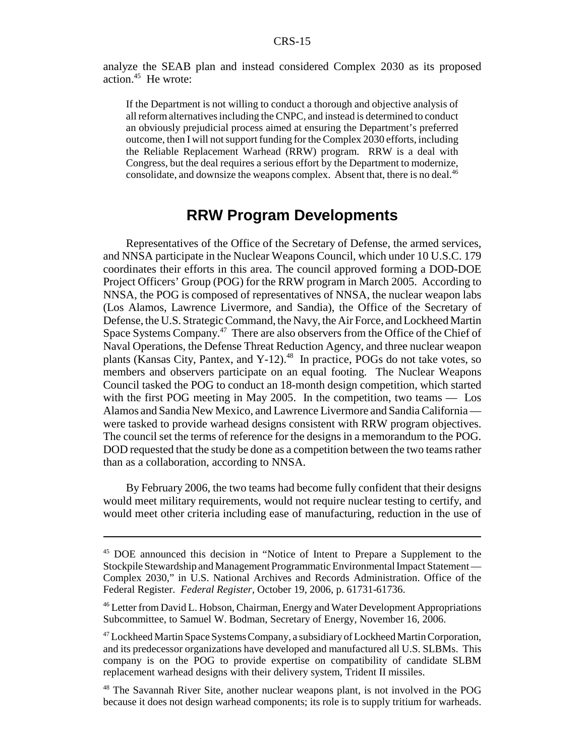analyze the SEAB plan and instead considered Complex 2030 as its proposed action.45 He wrote:

If the Department is not willing to conduct a thorough and objective analysis of all reform alternatives including the CNPC, and instead is determined to conduct an obviously prejudicial process aimed at ensuring the Department's preferred outcome, then I will not support funding for the Complex 2030 efforts, including the Reliable Replacement Warhead (RRW) program. RRW is a deal with Congress, but the deal requires a serious effort by the Department to modernize, consolidate, and downsize the weapons complex. Absent that, there is no deal.<sup>46</sup>

## **RRW Program Developments**

Representatives of the Office of the Secretary of Defense, the armed services, and NNSA participate in the Nuclear Weapons Council, which under 10 U.S.C. 179 coordinates their efforts in this area. The council approved forming a DOD-DOE Project Officers' Group (POG) for the RRW program in March 2005. According to NNSA, the POG is composed of representatives of NNSA, the nuclear weapon labs (Los Alamos, Lawrence Livermore, and Sandia), the Office of the Secretary of Defense, the U.S. Strategic Command, the Navy, the Air Force, and Lockheed Martin Space Systems Company.<sup>47</sup> There are also observers from the Office of the Chief of Naval Operations, the Defense Threat Reduction Agency, and three nuclear weapon plants (Kansas City, Pantex, and  $Y-12$ ).<sup>48</sup> In practice, POGs do not take votes, so members and observers participate on an equal footing. The Nuclear Weapons Council tasked the POG to conduct an 18-month design competition, which started with the first POG meeting in May 2005. In the competition, two teams — Los Alamos and Sandia New Mexico, and Lawrence Livermore and Sandia California were tasked to provide warhead designs consistent with RRW program objectives. The council set the terms of reference for the designs in a memorandum to the POG. DOD requested that the study be done as a competition between the two teams rather than as a collaboration, according to NNSA.

By February 2006, the two teams had become fully confident that their designs would meet military requirements, would not require nuclear testing to certify, and would meet other criteria including ease of manufacturing, reduction in the use of

<sup>&</sup>lt;sup>45</sup> DOE announced this decision in "Notice of Intent to Prepare a Supplement to the Stockpile Stewardship and Management Programmatic Environmental Impact Statement — Complex 2030," in U.S. National Archives and Records Administration. Office of the Federal Register. *Federal Register,* October 19, 2006, p. 61731-61736.

<sup>46</sup> Letter from David L. Hobson, Chairman, Energy and Water Development Appropriations Subcommittee, to Samuel W. Bodman, Secretary of Energy, November 16, 2006.

<sup>&</sup>lt;sup>47</sup> Lockheed Martin Space Systems Company, a subsidiary of Lockheed Martin Corporation, and its predecessor organizations have developed and manufactured all U.S. SLBMs. This company is on the POG to provide expertise on compatibility of candidate SLBM replacement warhead designs with their delivery system, Trident II missiles.

<sup>48</sup> The Savannah River Site, another nuclear weapons plant, is not involved in the POG because it does not design warhead components; its role is to supply tritium for warheads.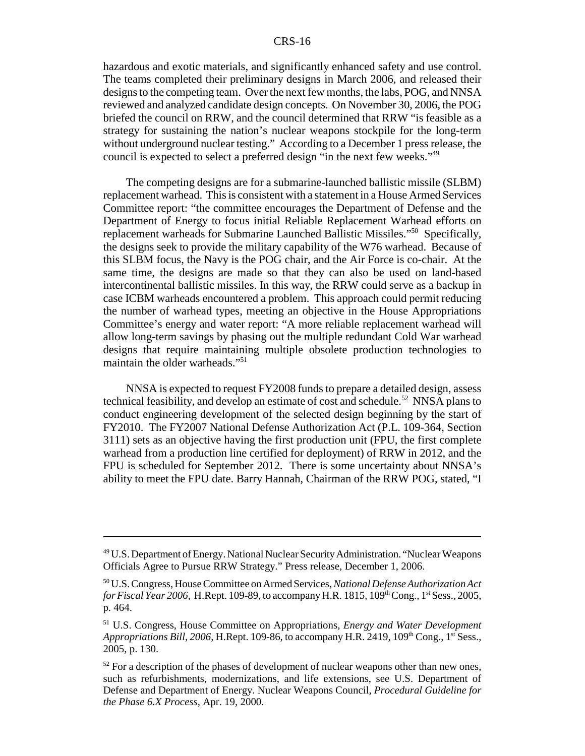hazardous and exotic materials, and significantly enhanced safety and use control. The teams completed their preliminary designs in March 2006, and released their designs to the competing team. Over the next few months, the labs, POG, and NNSA reviewed and analyzed candidate design concepts. On November 30, 2006, the POG briefed the council on RRW, and the council determined that RRW "is feasible as a strategy for sustaining the nation's nuclear weapons stockpile for the long-term without underground nuclear testing." According to a December 1 press release, the council is expected to select a preferred design "in the next few weeks."49

The competing designs are for a submarine-launched ballistic missile (SLBM) replacement warhead. This is consistent with a statement in a House Armed Services Committee report: "the committee encourages the Department of Defense and the Department of Energy to focus initial Reliable Replacement Warhead efforts on replacement warheads for Submarine Launched Ballistic Missiles."50 Specifically, the designs seek to provide the military capability of the W76 warhead. Because of this SLBM focus, the Navy is the POG chair, and the Air Force is co-chair. At the same time, the designs are made so that they can also be used on land-based intercontinental ballistic missiles. In this way, the RRW could serve as a backup in case ICBM warheads encountered a problem. This approach could permit reducing the number of warhead types, meeting an objective in the House Appropriations Committee's energy and water report: "A more reliable replacement warhead will allow long-term savings by phasing out the multiple redundant Cold War warhead designs that require maintaining multiple obsolete production technologies to maintain the older warheads."51

NNSA is expected to request FY2008 funds to prepare a detailed design, assess technical feasibility, and develop an estimate of cost and schedule.<sup>52</sup> NNSA plans to conduct engineering development of the selected design beginning by the start of FY2010. The FY2007 National Defense Authorization Act (P.L. 109-364, Section 3111) sets as an objective having the first production unit (FPU, the first complete warhead from a production line certified for deployment) of RRW in 2012, and the FPU is scheduled for September 2012. There is some uncertainty about NNSA's ability to meet the FPU date. Barry Hannah, Chairman of the RRW POG, stated, "I

<sup>49</sup> U.S. Department of Energy. National Nuclear Security Administration. "Nuclear Weapons Officials Agree to Pursue RRW Strategy." Press release, December 1, 2006.

<sup>50</sup> U.S. Congress, House Committee on Armed Services, *National Defense Authorization Act for Fiscal Year 2006,* H.Rept. 109-89, to accompany H.R. 1815, 109<sup>th</sup> Cong., 1<sup>st</sup> Sess., 2005, p. 464.

<sup>51</sup> U.S. Congress, House Committee on Appropriations, *Energy and Water Development Appropriations Bill, 2006, H.Rept. 109-86, to accompany H.R. 2419, 109*<sup>th</sup> Cong., 1<sup>st</sup> Sess., 2005, p. 130.

 $52$  For a description of the phases of development of nuclear weapons other than new ones, such as refurbishments, modernizations, and life extensions, see U.S. Department of Defense and Department of Energy. Nuclear Weapons Council, *Procedural Guideline for the Phase 6.X Process,* Apr. 19, 2000.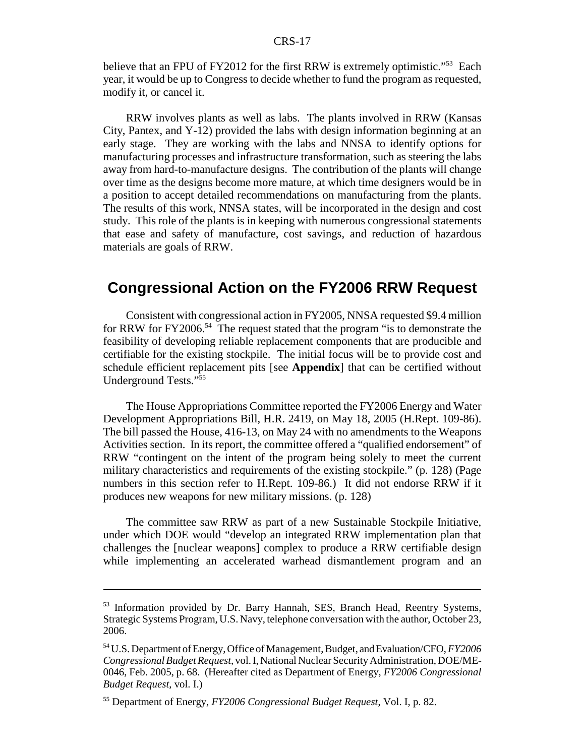believe that an FPU of FY2012 for the first RRW is extremely optimistic."<sup>53</sup> Each year, it would be up to Congress to decide whether to fund the program as requested, modify it, or cancel it.

RRW involves plants as well as labs. The plants involved in RRW (Kansas City, Pantex, and Y-12) provided the labs with design information beginning at an early stage. They are working with the labs and NNSA to identify options for manufacturing processes and infrastructure transformation, such as steering the labs away from hard-to-manufacture designs. The contribution of the plants will change over time as the designs become more mature, at which time designers would be in a position to accept detailed recommendations on manufacturing from the plants. The results of this work, NNSA states, will be incorporated in the design and cost study. This role of the plants is in keeping with numerous congressional statements that ease and safety of manufacture, cost savings, and reduction of hazardous materials are goals of RRW.

## **Congressional Action on the FY2006 RRW Request**

Consistent with congressional action in FY2005, NNSA requested \$9.4 million for RRW for FY2006.<sup>54</sup> The request stated that the program "is to demonstrate the feasibility of developing reliable replacement components that are producible and certifiable for the existing stockpile. The initial focus will be to provide cost and schedule efficient replacement pits [see **Appendix**] that can be certified without Underground Tests."55

The House Appropriations Committee reported the FY2006 Energy and Water Development Appropriations Bill, H.R. 2419, on May 18, 2005 (H.Rept. 109-86). The bill passed the House, 416-13, on May 24 with no amendments to the Weapons Activities section. In its report, the committee offered a "qualified endorsement" of RRW "contingent on the intent of the program being solely to meet the current military characteristics and requirements of the existing stockpile." (p. 128) (Page numbers in this section refer to H.Rept. 109-86.) It did not endorse RRW if it produces new weapons for new military missions. (p. 128)

The committee saw RRW as part of a new Sustainable Stockpile Initiative, under which DOE would "develop an integrated RRW implementation plan that challenges the [nuclear weapons] complex to produce a RRW certifiable design while implementing an accelerated warhead dismantlement program and an

<sup>&</sup>lt;sup>53</sup> Information provided by Dr. Barry Hannah, SES, Branch Head, Reentry Systems, Strategic Systems Program, U.S. Navy, telephone conversation with the author, October 23, 2006.

<sup>54</sup> U.S. Department of Energy, Office of Management, Budget, and Evaluation/CFO, *FY2006 Congressional Budget Request*, vol. I, National Nuclear Security Administration, DOE/ME-0046, Feb. 2005, p. 68. (Hereafter cited as Department of Energy, *FY2006 Congressional Budget Request*, vol. I.)

<sup>55</sup> Department of Energy, *FY2006 Congressional Budget Request*, Vol. I, p. 82.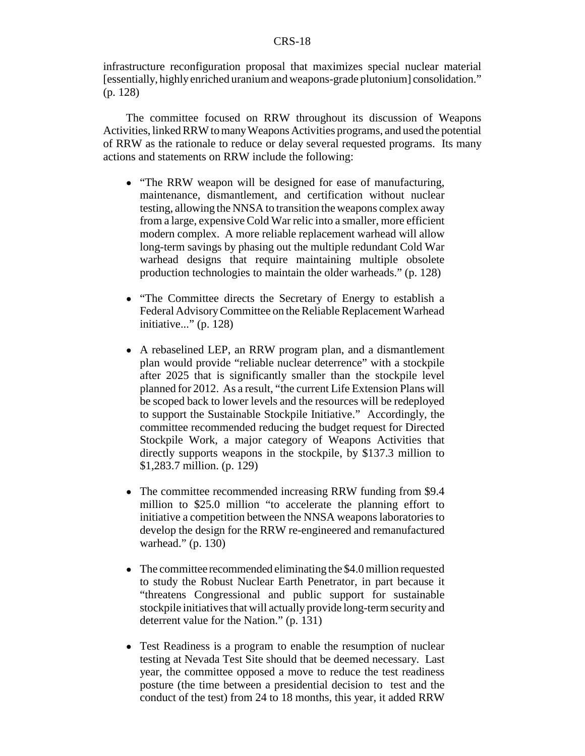infrastructure reconfiguration proposal that maximizes special nuclear material [essentially, highly enriched uranium and weapons-grade plutonium] consolidation." (p. 128)

The committee focused on RRW throughout its discussion of Weapons Activities, linked RRW to many Weapons Activities programs, and used the potential of RRW as the rationale to reduce or delay several requested programs. Its many actions and statements on RRW include the following:

- "The RRW weapon will be designed for ease of manufacturing, maintenance, dismantlement, and certification without nuclear testing, allowing the NNSA to transition the weapons complex away from a large, expensive Cold War relic into a smaller, more efficient modern complex. A more reliable replacement warhead will allow long-term savings by phasing out the multiple redundant Cold War warhead designs that require maintaining multiple obsolete production technologies to maintain the older warheads." (p. 128)
- "The Committee directs the Secretary of Energy to establish a Federal Advisory Committee on the Reliable Replacement Warhead initiative..." (p. 128)
- A rebaselined LEP, an RRW program plan, and a dismantlement plan would provide "reliable nuclear deterrence" with a stockpile after 2025 that is significantly smaller than the stockpile level planned for 2012. As a result, "the current Life Extension Plans will be scoped back to lower levels and the resources will be redeployed to support the Sustainable Stockpile Initiative." Accordingly, the committee recommended reducing the budget request for Directed Stockpile Work, a major category of Weapons Activities that directly supports weapons in the stockpile, by \$137.3 million to \$1,283.7 million. (p. 129)
- The committee recommended increasing RRW funding from \$9.4 million to \$25.0 million "to accelerate the planning effort to initiative a competition between the NNSA weapons laboratories to develop the design for the RRW re-engineered and remanufactured warhead." (p. 130)
- The committee recommended eliminating the \$4.0 million requested to study the Robust Nuclear Earth Penetrator, in part because it "threatens Congressional and public support for sustainable stockpile initiatives that will actually provide long-term security and deterrent value for the Nation." (p. 131)
- Test Readiness is a program to enable the resumption of nuclear testing at Nevada Test Site should that be deemed necessary. Last year, the committee opposed a move to reduce the test readiness posture (the time between a presidential decision to test and the conduct of the test) from 24 to 18 months, this year, it added RRW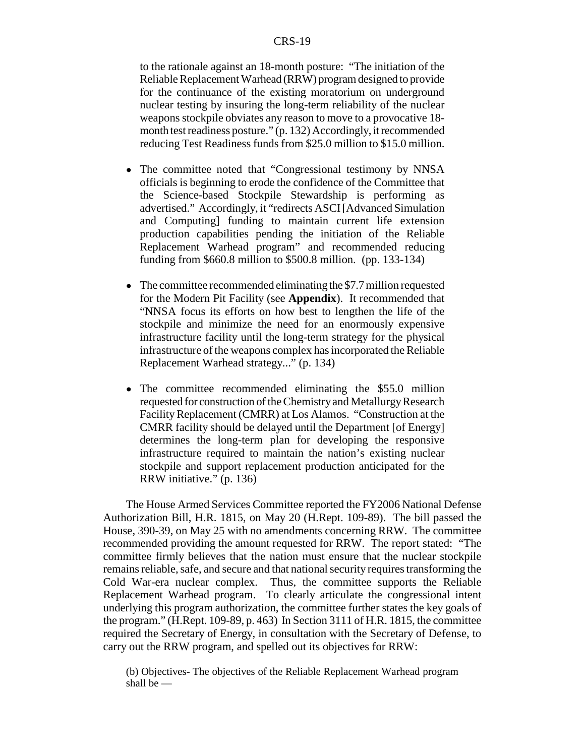to the rationale against an 18-month posture: "The initiation of the Reliable Replacement Warhead (RRW) program designed to provide for the continuance of the existing moratorium on underground nuclear testing by insuring the long-term reliability of the nuclear weapons stockpile obviates any reason to move to a provocative 18 month test readiness posture." (p. 132) Accordingly, it recommended reducing Test Readiness funds from \$25.0 million to \$15.0 million.

- The committee noted that "Congressional testimony by NNSA officials is beginning to erode the confidence of the Committee that the Science-based Stockpile Stewardship is performing as advertised." Accordingly, it "redirects ASCI [Advanced Simulation and Computing] funding to maintain current life extension production capabilities pending the initiation of the Reliable Replacement Warhead program" and recommended reducing funding from \$660.8 million to \$500.8 million. (pp. 133-134)
- The committee recommended eliminating the \$7.7 million requested for the Modern Pit Facility (see **Appendix**). It recommended that "NNSA focus its efforts on how best to lengthen the life of the stockpile and minimize the need for an enormously expensive infrastructure facility until the long-term strategy for the physical infrastructure of the weapons complex has incorporated the Reliable Replacement Warhead strategy..." (p. 134)
- The committee recommended eliminating the \$55.0 million requested for construction of the Chemistry and Metallurgy Research Facility Replacement (CMRR) at Los Alamos. "Construction at the CMRR facility should be delayed until the Department [of Energy] determines the long-term plan for developing the responsive infrastructure required to maintain the nation's existing nuclear stockpile and support replacement production anticipated for the RRW initiative." (p. 136)

The House Armed Services Committee reported the FY2006 National Defense Authorization Bill, H.R. 1815, on May 20 (H.Rept. 109-89). The bill passed the House, 390-39, on May 25 with no amendments concerning RRW. The committee recommended providing the amount requested for RRW. The report stated: "The committee firmly believes that the nation must ensure that the nuclear stockpile remains reliable, safe, and secure and that national security requires transforming the Cold War-era nuclear complex. Thus, the committee supports the Reliable Replacement Warhead program. To clearly articulate the congressional intent underlying this program authorization, the committee further states the key goals of the program." (H.Rept. 109-89, p. 463) In Section 3111 of H.R. 1815, the committee required the Secretary of Energy, in consultation with the Secretary of Defense, to carry out the RRW program, and spelled out its objectives for RRW:

(b) Objectives- The objectives of the Reliable Replacement Warhead program shall be —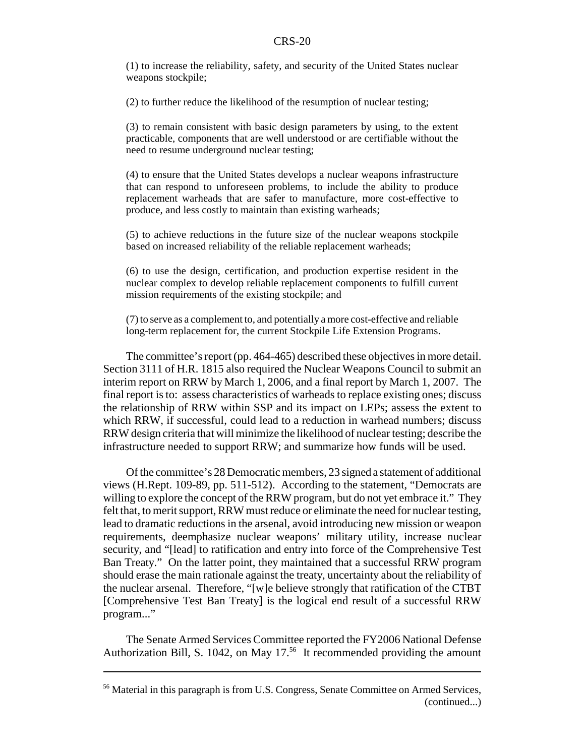(1) to increase the reliability, safety, and security of the United States nuclear weapons stockpile;

(2) to further reduce the likelihood of the resumption of nuclear testing;

(3) to remain consistent with basic design parameters by using, to the extent practicable, components that are well understood or are certifiable without the need to resume underground nuclear testing;

(4) to ensure that the United States develops a nuclear weapons infrastructure that can respond to unforeseen problems, to include the ability to produce replacement warheads that are safer to manufacture, more cost-effective to produce, and less costly to maintain than existing warheads;

(5) to achieve reductions in the future size of the nuclear weapons stockpile based on increased reliability of the reliable replacement warheads;

(6) to use the design, certification, and production expertise resident in the nuclear complex to develop reliable replacement components to fulfill current mission requirements of the existing stockpile; and

(7) to serve as a complement to, and potentially a more cost-effective and reliable long-term replacement for, the current Stockpile Life Extension Programs.

The committee's report (pp. 464-465) described these objectives in more detail. Section 3111 of H.R. 1815 also required the Nuclear Weapons Council to submit an interim report on RRW by March 1, 2006, and a final report by March 1, 2007. The final report is to: assess characteristics of warheads to replace existing ones; discuss the relationship of RRW within SSP and its impact on LEPs; assess the extent to which RRW, if successful, could lead to a reduction in warhead numbers; discuss RRW design criteria that will minimize the likelihood of nuclear testing; describe the infrastructure needed to support RRW; and summarize how funds will be used.

Of the committee's 28 Democratic members, 23 signed a statement of additional views (H.Rept. 109-89, pp. 511-512). According to the statement, "Democrats are willing to explore the concept of the RRW program, but do not yet embrace it." They felt that, to merit support, RRW must reduce or eliminate the need for nuclear testing, lead to dramatic reductions in the arsenal, avoid introducing new mission or weapon requirements, deemphasize nuclear weapons' military utility, increase nuclear security, and "[lead] to ratification and entry into force of the Comprehensive Test Ban Treaty." On the latter point, they maintained that a successful RRW program should erase the main rationale against the treaty, uncertainty about the reliability of the nuclear arsenal. Therefore, "[w]e believe strongly that ratification of the CTBT [Comprehensive Test Ban Treaty] is the logical end result of a successful RRW program..."

The Senate Armed Services Committee reported the FY2006 National Defense Authorization Bill, S. 1042, on May 17.<sup>56</sup> It recommended providing the amount

<sup>&</sup>lt;sup>56</sup> Material in this paragraph is from U.S. Congress, Senate Committee on Armed Services, (continued...)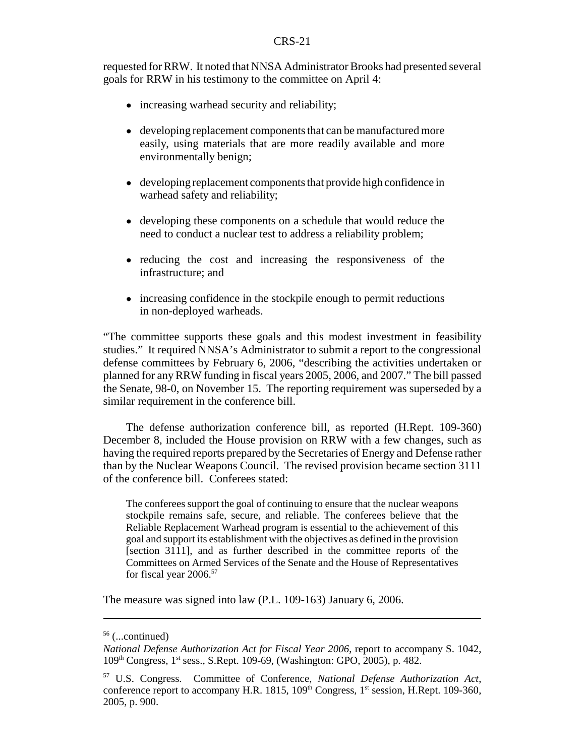requested for RRW. It noted that NNSA Administrator Brooks had presented several goals for RRW in his testimony to the committee on April 4:

- increasing warhead security and reliability;
- developing replacement components that can be manufactured more easily, using materials that are more readily available and more environmentally benign;
- developing replacement components that provide high confidence in warhead safety and reliability;
- developing these components on a schedule that would reduce the need to conduct a nuclear test to address a reliability problem;
- ! reducing the cost and increasing the responsiveness of the infrastructure; and
- increasing confidence in the stockpile enough to permit reductions in non-deployed warheads.

"The committee supports these goals and this modest investment in feasibility studies." It required NNSA's Administrator to submit a report to the congressional defense committees by February 6, 2006, "describing the activities undertaken or planned for any RRW funding in fiscal years 2005, 2006, and 2007." The bill passed the Senate, 98-0, on November 15. The reporting requirement was superseded by a similar requirement in the conference bill.

The defense authorization conference bill, as reported (H.Rept. 109-360) December 8, included the House provision on RRW with a few changes, such as having the required reports prepared by the Secretaries of Energy and Defense rather than by the Nuclear Weapons Council. The revised provision became section 3111 of the conference bill. Conferees stated:

The conferees support the goal of continuing to ensure that the nuclear weapons stockpile remains safe, secure, and reliable. The conferees believe that the Reliable Replacement Warhead program is essential to the achievement of this goal and support its establishment with the objectives as defined in the provision [section 3111], and as further described in the committee reports of the Committees on Armed Services of the Senate and the House of Representatives for fiscal year 2006.<sup>57</sup>

The measure was signed into law (P.L. 109-163) January 6, 2006.

 $56$  (...continued)

*National Defense Authorization Act for Fiscal Year 2006*, report to accompany S. 1042, 109th Congress, 1st sess., S.Rept. 109-69, (Washington: GPO, 2005), p. 482.

<sup>57</sup> U.S. Congress. Committee of Conference, *National Defense Authorization Act*, conference report to accompany H.R. 1815,  $109<sup>th</sup>$  Congress,  $1<sup>st</sup>$  session, H.Rept. 109-360, 2005, p. 900.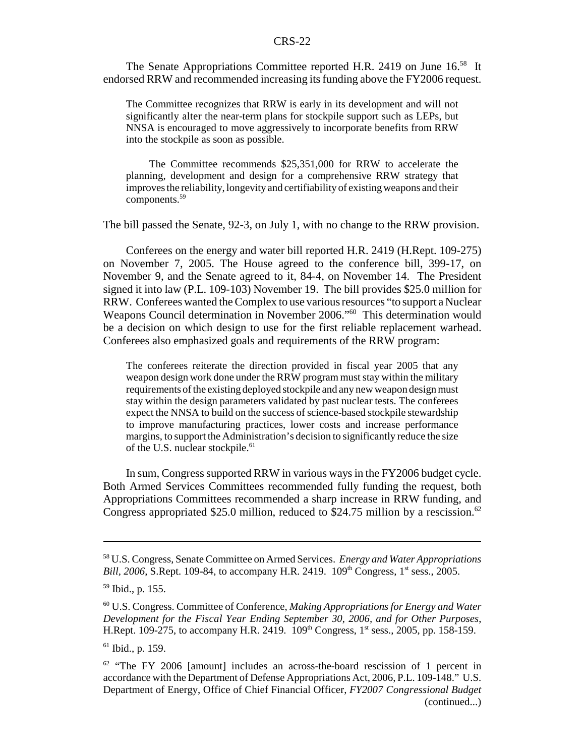The Senate Appropriations Committee reported H.R. 2419 on June 16.<sup>58</sup> It endorsed RRW and recommended increasing its funding above the FY2006 request.

The Committee recognizes that RRW is early in its development and will not significantly alter the near-term plans for stockpile support such as LEPs, but NNSA is encouraged to move aggressively to incorporate benefits from RRW into the stockpile as soon as possible.

The Committee recommends \$25,351,000 for RRW to accelerate the planning, development and design for a comprehensive RRW strategy that improves the reliability, longevity and certifiability of existing weapons and their components.59

The bill passed the Senate, 92-3, on July 1, with no change to the RRW provision.

Conferees on the energy and water bill reported H.R. 2419 (H.Rept. 109-275) on November 7, 2005. The House agreed to the conference bill, 399-17, on November 9, and the Senate agreed to it, 84-4, on November 14. The President signed it into law (P.L. 109-103) November 19. The bill provides \$25.0 million for RRW. Conferees wanted the Complex to use various resources "to support a Nuclear Weapons Council determination in November 2006."<sup>60</sup> This determination would be a decision on which design to use for the first reliable replacement warhead. Conferees also emphasized goals and requirements of the RRW program:

The conferees reiterate the direction provided in fiscal year 2005 that any weapon design work done under the RRW program must stay within the military requirements of the existing deployed stockpile and any new weapon design must stay within the design parameters validated by past nuclear tests. The conferees expect the NNSA to build on the success of science-based stockpile stewardship to improve manufacturing practices, lower costs and increase performance margins, to support the Administration's decision to significantly reduce the size of the U.S. nuclear stockpile.<sup>61</sup>

In sum, Congress supported RRW in various ways in the FY2006 budget cycle. Both Armed Services Committees recommended fully funding the request, both Appropriations Committees recommended a sharp increase in RRW funding, and Congress appropriated \$25.0 million, reduced to \$24.75 million by a rescission.<sup>62</sup>

<sup>58</sup> U.S. Congress, Senate Committee on Armed Services. *Energy and Water Appropriations Bill, 2006*, S.Rept. 109-84, to accompany H.R. 2419. 109<sup>th</sup> Congress, 1<sup>st</sup> sess., 2005.

<sup>59</sup> Ibid., p. 155.

<sup>60</sup> U.S. Congress. Committee of Conference, *Making Appropriations for Energy and Water Development for the Fiscal Year Ending September 30, 2006, and for Other Purposes*, H.Rept. 109-275, to accompany H.R. 2419.  $109^{th}$  Congress,  $1^{st}$  sess., 2005, pp. 158-159.

 $61$  Ibid., p. 159.

 $62$  "The FY 2006 [amount] includes an across-the-board rescission of 1 percent in accordance with the Department of Defense Appropriations Act, 2006, P.L. 109-148." U.S. Department of Energy, Office of Chief Financial Officer, *FY2007 Congressional Budget* (continued...)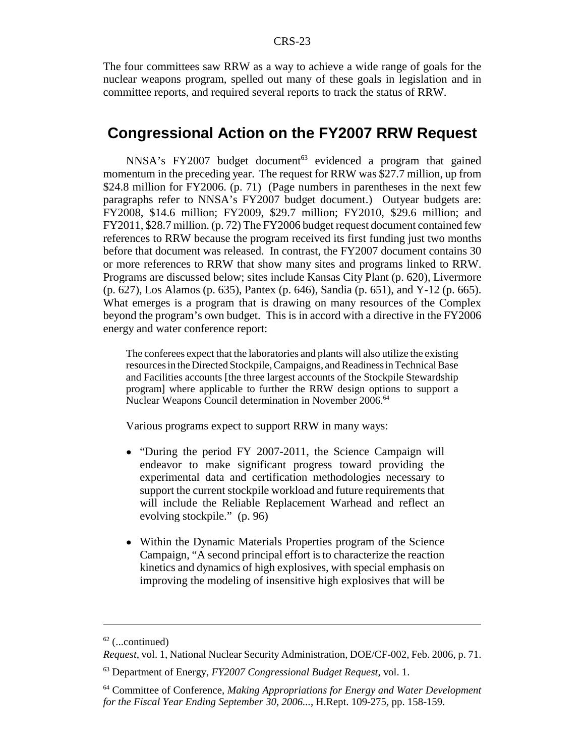The four committees saw RRW as a way to achieve a wide range of goals for the nuclear weapons program, spelled out many of these goals in legislation and in committee reports, and required several reports to track the status of RRW.

## **Congressional Action on the FY2007 RRW Request**

 $NNSA's FY2007 budget document<sup>63</sup> evidenced a program that gained$ momentum in the preceding year. The request for RRW was \$27.7 million, up from \$24.8 million for FY2006. (p. 71) (Page numbers in parentheses in the next few paragraphs refer to NNSA's FY2007 budget document.) Outyear budgets are: FY2008, \$14.6 million; FY2009, \$29.7 million; FY2010, \$29.6 million; and FY2011, \$28.7 million. (p. 72) The FY2006 budget request document contained few references to RRW because the program received its first funding just two months before that document was released. In contrast, the FY2007 document contains 30 or more references to RRW that show many sites and programs linked to RRW. Programs are discussed below; sites include Kansas City Plant (p. 620), Livermore (p. 627), Los Alamos (p. 635), Pantex (p. 646), Sandia (p. 651), and Y-12 (p. 665). What emerges is a program that is drawing on many resources of the Complex beyond the program's own budget. This is in accord with a directive in the FY2006 energy and water conference report:

The conferees expect that the laboratories and plants will also utilize the existing resources in the Directed Stockpile, Campaigns, and Readiness in Technical Base and Facilities accounts [the three largest accounts of the Stockpile Stewardship program] where applicable to further the RRW design options to support a Nuclear Weapons Council determination in November 2006.64

Various programs expect to support RRW in many ways:

- "During the period FY 2007-2011, the Science Campaign will endeavor to make significant progress toward providing the experimental data and certification methodologies necessary to support the current stockpile workload and future requirements that will include the Reliable Replacement Warhead and reflect an evolving stockpile." (p. 96)
- Within the Dynamic Materials Properties program of the Science Campaign, "A second principal effort is to characterize the reaction kinetics and dynamics of high explosives, with special emphasis on improving the modeling of insensitive high explosives that will be

 $62$  (...continued)

*Request*, vol. 1, National Nuclear Security Administration, DOE/CF-002, Feb. 2006, p. 71.

<sup>63</sup> Department of Energy, *FY2007 Congressional Budget Request*, vol. 1.

<sup>64</sup> Committee of Conference, *Making Appropriations for Energy and Water Development for the Fiscal Year Ending September 30, 2006...*, H.Rept. 109-275, pp. 158-159.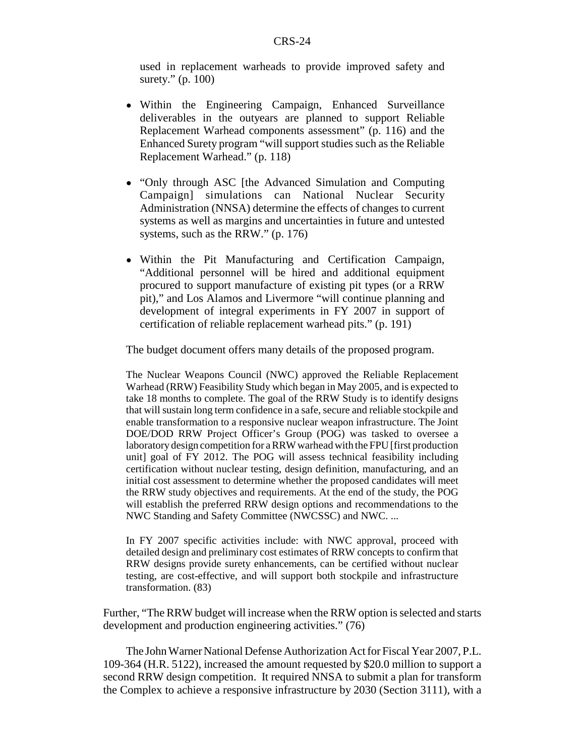used in replacement warheads to provide improved safety and surety." (p. 100)

- ! Within the Engineering Campaign, Enhanced Surveillance deliverables in the outyears are planned to support Reliable Replacement Warhead components assessment" (p. 116) and the Enhanced Surety program "will support studies such as the Reliable Replacement Warhead." (p. 118)
- "Only through ASC [the Advanced Simulation and Computing Campaign] simulations can National Nuclear Security Administration (NNSA) determine the effects of changes to current systems as well as margins and uncertainties in future and untested systems, such as the RRW." (p. 176)
- ! Within the Pit Manufacturing and Certification Campaign, "Additional personnel will be hired and additional equipment procured to support manufacture of existing pit types (or a RRW pit)," and Los Alamos and Livermore "will continue planning and development of integral experiments in FY 2007 in support of certification of reliable replacement warhead pits." (p. 191)

The budget document offers many details of the proposed program.

The Nuclear Weapons Council (NWC) approved the Reliable Replacement Warhead (RRW) Feasibility Study which began in May 2005, and is expected to take 18 months to complete. The goal of the RRW Study is to identify designs that will sustain long term confidence in a safe, secure and reliable stockpile and enable transformation to a responsive nuclear weapon infrastructure. The Joint DOE/DOD RRW Project Officer's Group (POG) was tasked to oversee a laboratory design competition for a RRW warhead with the FPU [first production unit] goal of FY 2012. The POG will assess technical feasibility including certification without nuclear testing, design definition, manufacturing, and an initial cost assessment to determine whether the proposed candidates will meet the RRW study objectives and requirements. At the end of the study, the POG will establish the preferred RRW design options and recommendations to the NWC Standing and Safety Committee (NWCSSC) and NWC. ...

In FY 2007 specific activities include: with NWC approval, proceed with detailed design and preliminary cost estimates of RRW concepts to confirm that RRW designs provide surety enhancements, can be certified without nuclear testing, are cost-effective, and will support both stockpile and infrastructure transformation. (83)

Further, "The RRW budget will increase when the RRW option is selected and starts development and production engineering activities." (76)

The John Warner National Defense Authorization Act for Fiscal Year 2007, P.L. 109-364 (H.R. 5122), increased the amount requested by \$20.0 million to support a second RRW design competition. It required NNSA to submit a plan for transform the Complex to achieve a responsive infrastructure by 2030 (Section 3111), with a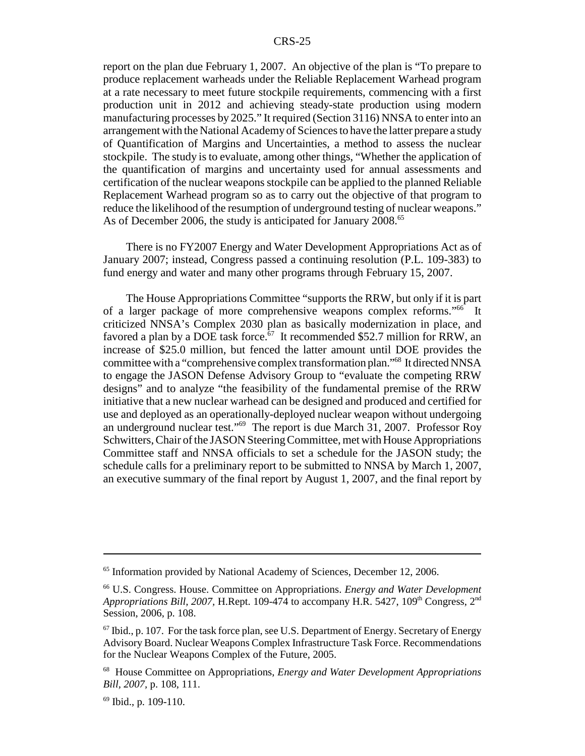report on the plan due February 1, 2007. An objective of the plan is "To prepare to produce replacement warheads under the Reliable Replacement Warhead program at a rate necessary to meet future stockpile requirements, commencing with a first production unit in 2012 and achieving steady-state production using modern manufacturing processes by 2025." It required (Section 3116) NNSA to enter into an arrangement with the National Academy of Sciences to have the latter prepare a study of Quantification of Margins and Uncertainties, a method to assess the nuclear stockpile. The study is to evaluate, among other things, "Whether the application of the quantification of margins and uncertainty used for annual assessments and certification of the nuclear weapons stockpile can be applied to the planned Reliable Replacement Warhead program so as to carry out the objective of that program to reduce the likelihood of the resumption of underground testing of nuclear weapons." As of December 2006, the study is anticipated for January 2008.<sup>65</sup>

There is no FY2007 Energy and Water Development Appropriations Act as of January 2007; instead, Congress passed a continuing resolution (P.L. 109-383) to fund energy and water and many other programs through February 15, 2007.

The House Appropriations Committee "supports the RRW, but only if it is part of a larger package of more comprehensive weapons complex reforms."66 It criticized NNSA's Complex 2030 plan as basically modernization in place, and favored a plan by a DOE task force.<sup> $67$ </sup> It recommended \$52.7 million for RRW, an increase of \$25.0 million, but fenced the latter amount until DOE provides the committee with a "comprehensive complex transformation plan."68 It directed NNSA to engage the JASON Defense Advisory Group to "evaluate the competing RRW designs" and to analyze "the feasibility of the fundamental premise of the RRW initiative that a new nuclear warhead can be designed and produced and certified for use and deployed as an operationally-deployed nuclear weapon without undergoing an underground nuclear test."69 The report is due March 31, 2007. Professor Roy Schwitters, Chair of the JASON Steering Committee, met with House Appropriations Committee staff and NNSA officials to set a schedule for the JASON study; the schedule calls for a preliminary report to be submitted to NNSA by March 1, 2007, an executive summary of the final report by August 1, 2007, and the final report by

<sup>&</sup>lt;sup>65</sup> Information provided by National Academy of Sciences, December 12, 2006.

<sup>66</sup> U.S. Congress. House. Committee on Appropriations. *Energy and Water Development Appropriations Bill, 2007, H.Rept. 109-474 to accompany H.R. 5427, 109<sup>th</sup> Congress, 2<sup>nd</sup>* Session, 2006, p. 108.

 $67$  Ibid., p. 107. For the task force plan, see U.S. Department of Energy. Secretary of Energy Advisory Board. Nuclear Weapons Complex Infrastructure Task Force. Recommendations for the Nuclear Weapons Complex of the Future, 2005.

<sup>68</sup> House Committee on Appropriations, *Energy and Water Development Appropriations Bill, 2007,* p. 108, 111.

 $69$  Ibid., p. 109-110.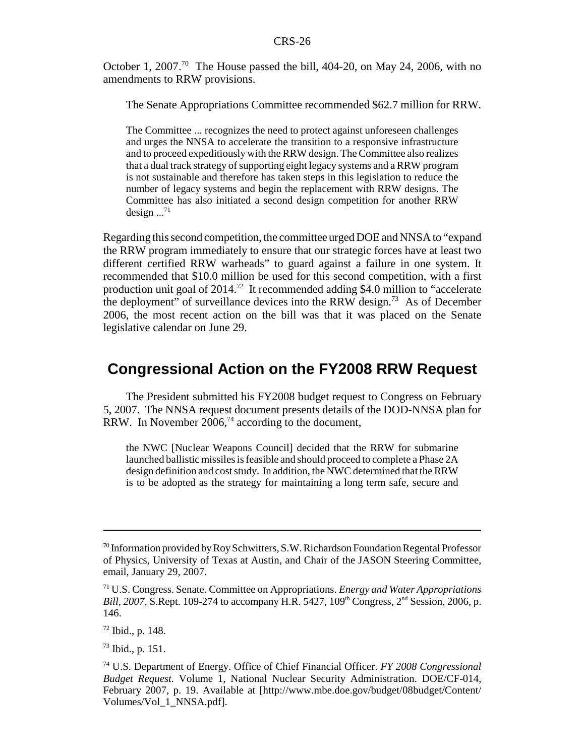October 1, 2007.<sup>70</sup> The House passed the bill, 404-20, on May 24, 2006, with no amendments to RRW provisions.

The Senate Appropriations Committee recommended \$62.7 million for RRW.

The Committee ... recognizes the need to protect against unforeseen challenges and urges the NNSA to accelerate the transition to a responsive infrastructure and to proceed expeditiously with the RRW design. The Committee also realizes that a dual track strategy of supporting eight legacy systems and a RRW program is not sustainable and therefore has taken steps in this legislation to reduce the number of legacy systems and begin the replacement with RRW designs. The Committee has also initiated a second design competition for another RRW design  $\ldots$ <sup>71</sup>

Regarding this second competition, the committee urged DOE and NNSA to "expand the RRW program immediately to ensure that our strategic forces have at least two different certified RRW warheads" to guard against a failure in one system. It recommended that \$10.0 million be used for this second competition, with a first production unit goal of  $2014<sup>72</sup>$  It recommended adding \$4.0 million to "accelerate the deployment" of surveillance devices into the RRW design.<sup>73</sup> As of December 2006, the most recent action on the bill was that it was placed on the Senate legislative calendar on June 29.

## **Congressional Action on the FY2008 RRW Request**

The President submitted his FY2008 budget request to Congress on February 5, 2007. The NNSA request document presents details of the DOD-NNSA plan for RRW. In November  $2006<sup>74</sup>$  according to the document,

the NWC [Nuclear Weapons Council] decided that the RRW for submarine launched ballistic missiles is feasible and should proceed to complete a Phase 2A design definition and cost study. In addition, the NWC determined that the RRW is to be adopted as the strategy for maintaining a long term safe, secure and

 $70$  Information provided by Roy Schwitters, S.W. Richardson Foundation Regental Professor of Physics, University of Texas at Austin, and Chair of the JASON Steering Committee, email, January 29, 2007.

<sup>71</sup> U.S. Congress. Senate. Committee on Appropriations. *Energy and Water Appropriations Bill, 2007, S.Rept. 109-274 to accompany H.R. 5427, 109<sup>th</sup> Congress, 2<sup>nd</sup> Session, 2006, p.* 146.

<sup>72</sup> Ibid., p. 148.

<sup>73</sup> Ibid., p. 151.

<sup>74</sup> U.S. Department of Energy. Office of Chief Financial Officer. *FY 2008 Congressional Budget Request.* Volume 1, National Nuclear Security Administration. DOE/CF-014, February 2007, p. 19. Available at [http://www.mbe.doe.gov/budget/08budget/Content/ Volumes/Vol\_1\_NNSA.pdf].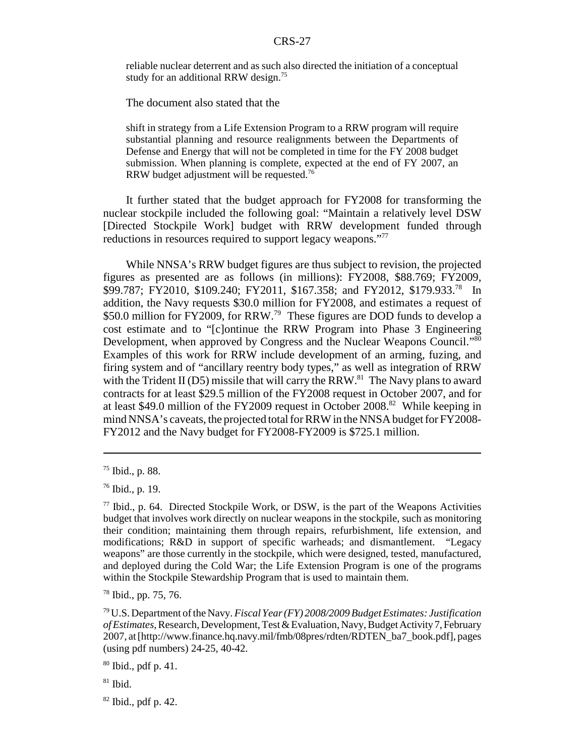reliable nuclear deterrent and as such also directed the initiation of a conceptual study for an additional RRW design.<sup>75</sup>

The document also stated that the

shift in strategy from a Life Extension Program to a RRW program will require substantial planning and resource realignments between the Departments of Defense and Energy that will not be completed in time for the FY 2008 budget submission. When planning is complete, expected at the end of FY 2007, an RRW budget adjustment will be requested.76

It further stated that the budget approach for FY2008 for transforming the nuclear stockpile included the following goal: "Maintain a relatively level DSW [Directed Stockpile Work] budget with RRW development funded through reductions in resources required to support legacy weapons."<sup>77</sup>

While NNSA's RRW budget figures are thus subject to revision, the projected figures as presented are as follows (in millions): FY2008, \$88.769; FY2009, \$99.787; FY2010, \$109.240; FY2011, \$167.358; and FY2012, \$179.933.<sup>78</sup> In addition, the Navy requests \$30.0 million for FY2008, and estimates a request of \$50.0 million for FY2009, for RRW.<sup>79</sup> These figures are DOD funds to develop a cost estimate and to "[c]ontinue the RRW Program into Phase 3 Engineering Development, when approved by Congress and the Nuclear Weapons Council."<sup>80</sup> Examples of this work for RRW include development of an arming, fuzing, and firing system and of "ancillary reentry body types," as well as integration of RRW with the Trident II (D5) missile that will carry the RRW.<sup>81</sup> The Navy plans to award contracts for at least \$29.5 million of the FY2008 request in October 2007, and for at least \$49.0 million of the FY2009 request in October 2008.82 While keeping in mind NNSA's caveats, the projected total for RRW in the NNSA budget for FY2008- FY2012 and the Navy budget for FY2008-FY2009 is \$725.1 million.

<sup>75</sup> Ibid., p. 88.

<sup>76</sup> Ibid., p. 19.

 $77$  Ibid., p. 64. Directed Stockpile Work, or DSW, is the part of the Weapons Activities budget that involves work directly on nuclear weapons in the stockpile, such as monitoring their condition; maintaining them through repairs, refurbishment, life extension, and modifications; R&D in support of specific warheads; and dismantlement. "Legacy weapons" are those currently in the stockpile, which were designed, tested, manufactured, and deployed during the Cold War; the Life Extension Program is one of the programs within the Stockpile Stewardship Program that is used to maintain them.

<sup>78</sup> Ibid., pp. 75, 76.

<sup>79</sup> U.S. Department of the Navy. *Fiscal Year (FY) 2008/2009 Budget Estimates: Justification of Estimates,* Research, Development, Test & Evaluation, Navy, Budget Activity 7, February 2007, at [http://www.finance.hq.navy.mil/fmb/08pres/rdten/RDTEN\_ba7\_book.pdf], pages (using pdf numbers) 24-25, 40-42.

 $80$  Ibid., pdf p. 41.

 $81$  Ibid.

 $82$  Ibid., pdf p. 42.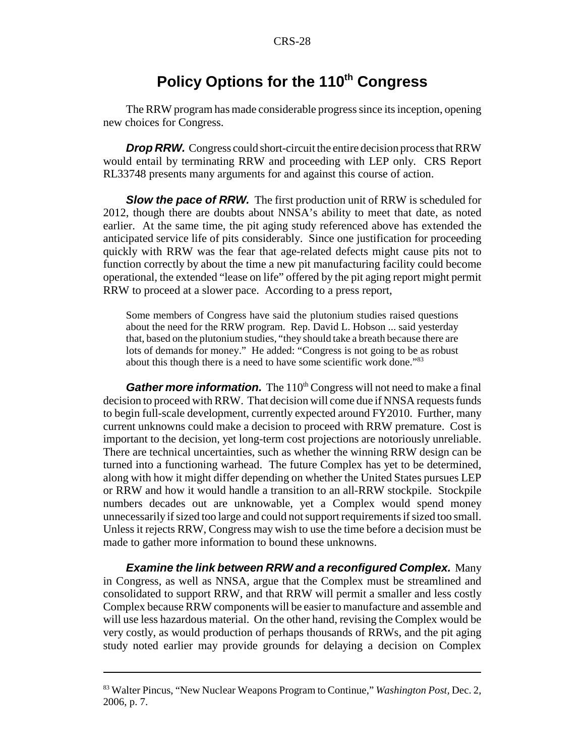# **Policy Options for the 110<sup>th</sup> Congress**

The RRW program has made considerable progress since its inception, opening new choices for Congress.

**Drop RRW.** Congress could short-circuit the entire decision process that RRW would entail by terminating RRW and proceeding with LEP only. CRS Report RL33748 presents many arguments for and against this course of action.

**Slow the pace of RRW.** The first production unit of RRW is scheduled for 2012, though there are doubts about NNSA's ability to meet that date, as noted earlier. At the same time, the pit aging study referenced above has extended the anticipated service life of pits considerably. Since one justification for proceeding quickly with RRW was the fear that age-related defects might cause pits not to function correctly by about the time a new pit manufacturing facility could become operational, the extended "lease on life" offered by the pit aging report might permit RRW to proceed at a slower pace. According to a press report,

Some members of Congress have said the plutonium studies raised questions about the need for the RRW program. Rep. David L. Hobson ... said yesterday that, based on the plutonium studies, "they should take a breath because there are lots of demands for money." He added: "Congress is not going to be as robust about this though there is a need to have some scientific work done."<sup>83</sup>

*Gather more information.* The 110<sup>th</sup> Congress will not need to make a final decision to proceed with RRW. That decision will come due if NNSA requests funds to begin full-scale development, currently expected around FY2010. Further, many current unknowns could make a decision to proceed with RRW premature. Cost is important to the decision, yet long-term cost projections are notoriously unreliable. There are technical uncertainties, such as whether the winning RRW design can be turned into a functioning warhead. The future Complex has yet to be determined, along with how it might differ depending on whether the United States pursues LEP or RRW and how it would handle a transition to an all-RRW stockpile. Stockpile numbers decades out are unknowable, yet a Complex would spend money unnecessarily if sized too large and could not support requirements if sized too small. Unless it rejects RRW, Congress may wish to use the time before a decision must be made to gather more information to bound these unknowns.

*Examine the link between RRW and a reconfigured Complex.* Many in Congress, as well as NNSA, argue that the Complex must be streamlined and consolidated to support RRW, and that RRW will permit a smaller and less costly Complex because RRW components will be easier to manufacture and assemble and will use less hazardous material. On the other hand, revising the Complex would be very costly, as would production of perhaps thousands of RRWs, and the pit aging study noted earlier may provide grounds for delaying a decision on Complex

<sup>83</sup> Walter Pincus, "New Nuclear Weapons Program to Continue," *Washington Post,* Dec. 2, 2006, p. 7.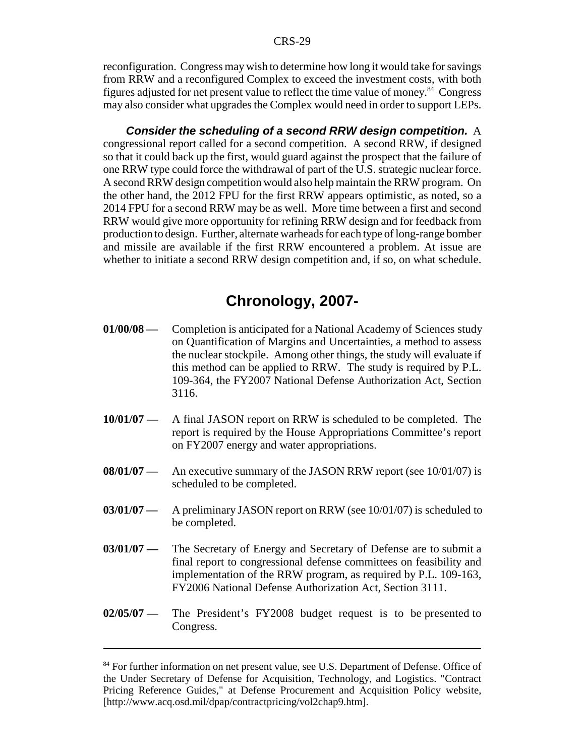reconfiguration. Congress may wish to determine how long it would take for savings from RRW and a reconfigured Complex to exceed the investment costs, with both figures adjusted for net present value to reflect the time value of money.<sup>84</sup> Congress may also consider what upgrades the Complex would need in order to support LEPs.

*Consider the scheduling of a second RRW design competition.* A congressional report called for a second competition. A second RRW, if designed so that it could back up the first, would guard against the prospect that the failure of one RRW type could force the withdrawal of part of the U.S. strategic nuclear force. A second RRW design competition would also help maintain the RRW program. On the other hand, the 2012 FPU for the first RRW appears optimistic, as noted, so a 2014 FPU for a second RRW may be as well. More time between a first and second RRW would give more opportunity for refining RRW design and for feedback from production to design. Further, alternate warheads for each type of long-range bomber and missile are available if the first RRW encountered a problem. At issue are whether to initiate a second RRW design competition and, if so, on what schedule.

# **Chronology, 2007-**

- **01/00/08** Completion is anticipated for a National Academy of Sciences study on Quantification of Margins and Uncertainties, a method to assess the nuclear stockpile. Among other things, the study will evaluate if this method can be applied to RRW. The study is required by P.L. 109-364, the FY2007 National Defense Authorization Act, Section 3116.
- **10/01/07** A final JASON report on RRW is scheduled to be completed. The report is required by the House Appropriations Committee's report on FY2007 energy and water appropriations.
- **08/01/07** An executive summary of the JASON RRW report (see 10/01/07) is scheduled to be completed.
- **03/01/07** A preliminary JASON report on RRW (see 10/01/07) is scheduled to be completed.
- **03/01/07** The Secretary of Energy and Secretary of Defense are to submit a final report to congressional defense committees on feasibility and implementation of the RRW program, as required by P.L. 109-163, FY2006 National Defense Authorization Act, Section 3111.
- **02/05/07** The President's FY2008 budget request is to be presented to Congress.

<sup>&</sup>lt;sup>84</sup> For further information on net present value, see U.S. Department of Defense. Office of the Under Secretary of Defense for Acquisition, Technology, and Logistics. "Contract Pricing Reference Guides," at Defense Procurement and Acquisition Policy website, [http://www.acq.osd.mil/dpap/contractpricing/vol2chap9.htm].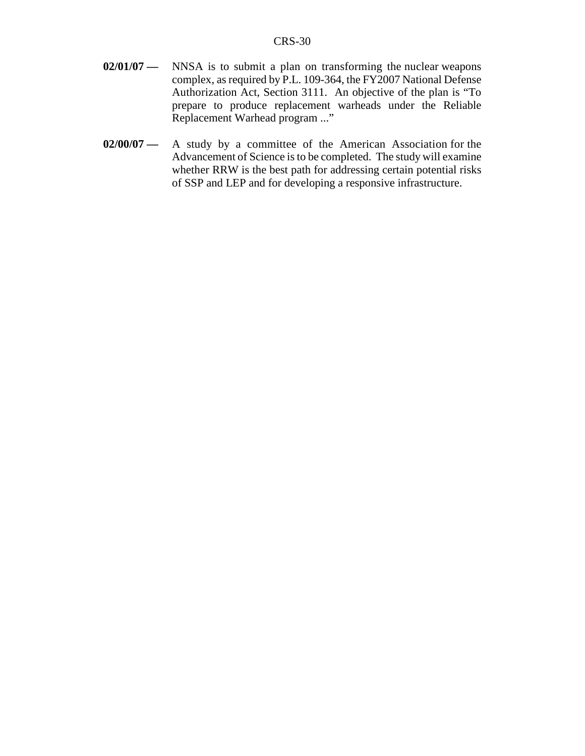- **02/01/07** NNSA is to submit a plan on transforming the nuclear weapons complex, as required by P.L. 109-364, the FY2007 National Defense Authorization Act, Section 3111. An objective of the plan is "To prepare to produce replacement warheads under the Reliable Replacement Warhead program ..."
- **02/00/07** A study by a committee of the American Association for the Advancement of Science is to be completed. The study will examine whether RRW is the best path for addressing certain potential risks of SSP and LEP and for developing a responsive infrastructure.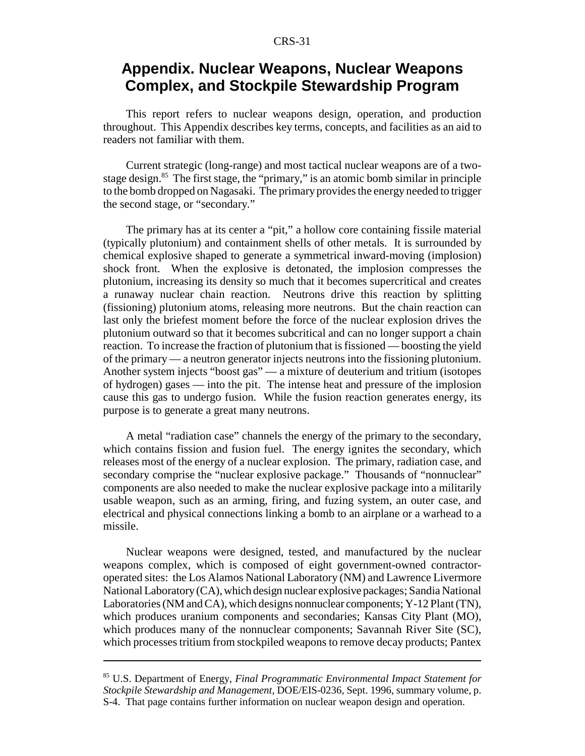# **Appendix. Nuclear Weapons, Nuclear Weapons Complex, and Stockpile Stewardship Program**

This report refers to nuclear weapons design, operation, and production throughout. This Appendix describes key terms, concepts, and facilities as an aid to readers not familiar with them.

Current strategic (long-range) and most tactical nuclear weapons are of a twostage design.<sup>85</sup> The first stage, the "primary," is an atomic bomb similar in principle to the bomb dropped on Nagasaki. The primary provides the energy needed to trigger the second stage, or "secondary."

The primary has at its center a "pit," a hollow core containing fissile material (typically plutonium) and containment shells of other metals. It is surrounded by chemical explosive shaped to generate a symmetrical inward-moving (implosion) shock front. When the explosive is detonated, the implosion compresses the plutonium, increasing its density so much that it becomes supercritical and creates a runaway nuclear chain reaction. Neutrons drive this reaction by splitting (fissioning) plutonium atoms, releasing more neutrons. But the chain reaction can last only the briefest moment before the force of the nuclear explosion drives the plutonium outward so that it becomes subcritical and can no longer support a chain reaction. To increase the fraction of plutonium that is fissioned — boosting the yield of the primary — a neutron generator injects neutrons into the fissioning plutonium. Another system injects "boost gas" — a mixture of deuterium and tritium (isotopes of hydrogen) gases — into the pit. The intense heat and pressure of the implosion cause this gas to undergo fusion. While the fusion reaction generates energy, its purpose is to generate a great many neutrons.

A metal "radiation case" channels the energy of the primary to the secondary, which contains fission and fusion fuel. The energy ignites the secondary, which releases most of the energy of a nuclear explosion. The primary, radiation case, and secondary comprise the "nuclear explosive package." Thousands of "nonnuclear" components are also needed to make the nuclear explosive package into a militarily usable weapon, such as an arming, firing, and fuzing system, an outer case, and electrical and physical connections linking a bomb to an airplane or a warhead to a missile.

Nuclear weapons were designed, tested, and manufactured by the nuclear weapons complex, which is composed of eight government-owned contractoroperated sites: the Los Alamos National Laboratory (NM) and Lawrence Livermore National Laboratory (CA), which design nuclear explosive packages; Sandia National Laboratories (NM and CA), which designs nonnuclear components; Y-12 Plant (TN), which produces uranium components and secondaries; Kansas City Plant (MO), which produces many of the nonnuclear components; Savannah River Site (SC), which processes tritium from stockpiled weapons to remove decay products; Pantex

<sup>85</sup> U.S. Department of Energy, *Final Programmatic Environmental Impact Statement for Stockpile Stewardship and Management,* DOE/EIS-0236, Sept. 1996, summary volume, p. S-4. That page contains further information on nuclear weapon design and operation.